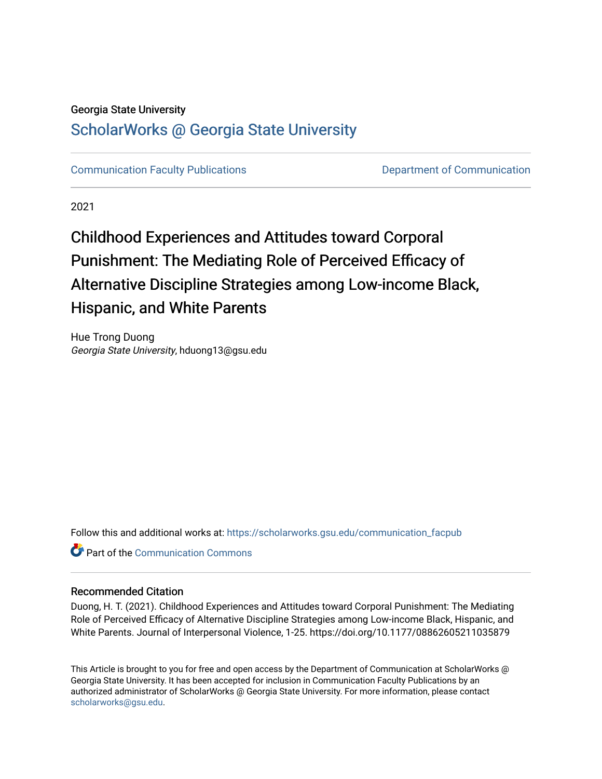## Georgia State University

## [ScholarWorks @ Georgia State University](https://scholarworks.gsu.edu/)

[Communication Faculty Publications](https://scholarworks.gsu.edu/communication_facpub) [Department of Communication](https://scholarworks.gsu.edu/communication) 

2021

# Childhood Experiences and Attitudes toward Corporal Punishment: The Mediating Role of Perceived Efficacy of Alternative Discipline Strategies among Low-income Black, Hispanic, and White Parents

Hue Trong Duong Georgia State University, hduong13@gsu.edu

Follow this and additional works at: [https://scholarworks.gsu.edu/communication\\_facpub](https://scholarworks.gsu.edu/communication_facpub?utm_source=scholarworks.gsu.edu%2Fcommunication_facpub%2F36&utm_medium=PDF&utm_campaign=PDFCoverPages) 

**C** Part of the Communication Commons

### Recommended Citation

Duong, H. T. (2021). Childhood Experiences and Attitudes toward Corporal Punishment: The Mediating Role of Perceived Efficacy of Alternative Discipline Strategies among Low-income Black, Hispanic, and White Parents. Journal of Interpersonal Violence, 1-25. https://doi.org/10.1177/08862605211035879

This Article is brought to you for free and open access by the Department of Communication at ScholarWorks @ Georgia State University. It has been accepted for inclusion in Communication Faculty Publications by an authorized administrator of ScholarWorks @ Georgia State University. For more information, please contact [scholarworks@gsu.edu.](mailto:scholarworks@gsu.edu)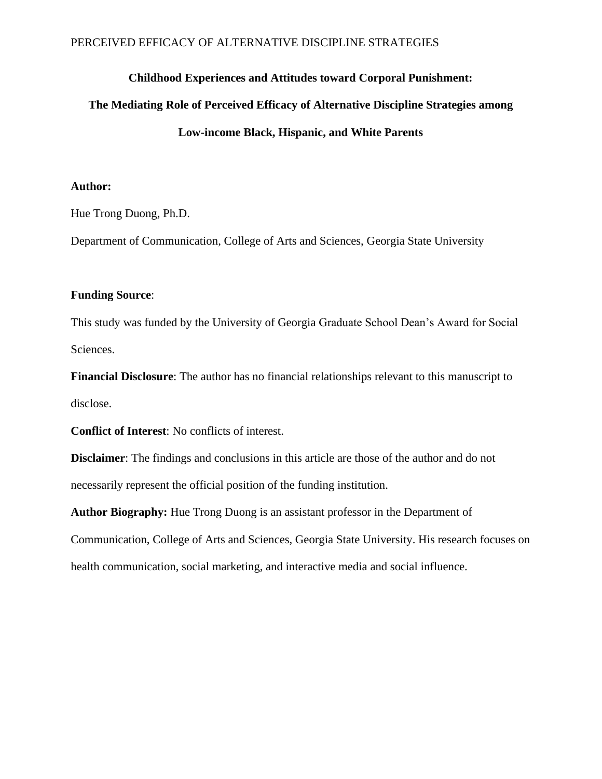## PERCEIVED EFFICACY OF ALTERNATIVE DISCIPLINE STRATEGIES

## **Childhood Experiences and Attitudes toward Corporal Punishment:**

## **The Mediating Role of Perceived Efficacy of Alternative Discipline Strategies among Low-income Black, Hispanic, and White Parents**

### **Author:**

Hue Trong Duong, Ph.D.

Department of Communication, College of Arts and Sciences, Georgia State University

## **Funding Source**:

This study was funded by the University of Georgia Graduate School Dean's Award for Social Sciences.

**Financial Disclosure**: The author has no financial relationships relevant to this manuscript to disclose.

**Conflict of Interest**: No conflicts of interest.

**Disclaimer**: The findings and conclusions in this article are those of the author and do not necessarily represent the official position of the funding institution.

**Author Biography:** Hue Trong Duong is an assistant professor in the Department of Communication, College of Arts and Sciences, Georgia State University. His research focuses on health communication, social marketing, and interactive media and social influence.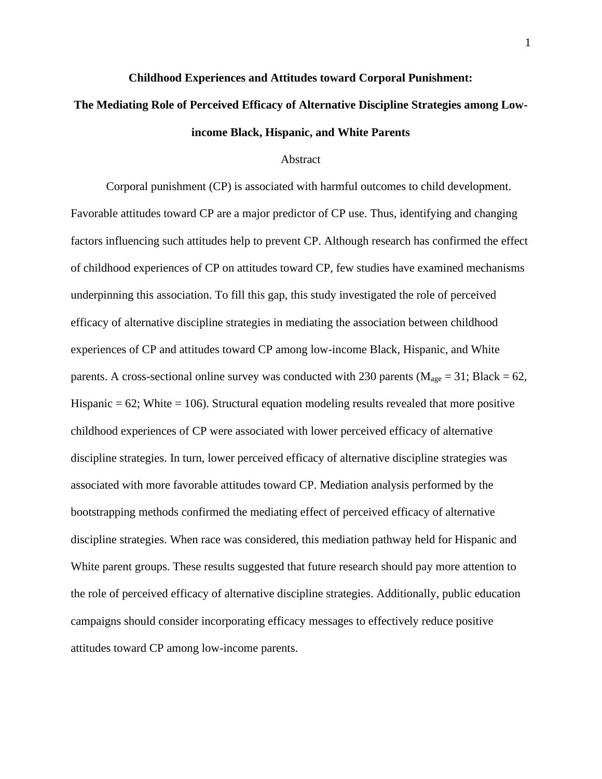#### **Childhood Experiences and Attitudes toward Corporal Punishment:**

## **The Mediating Role of Perceived Efficacy of Alternative Discipline Strategies among Lowincome Black, Hispanic, and White Parents**

### Abstract

Corporal punishment (CP) is associated with harmful outcomes to child development. Favorable attitudes toward CP are a major predictor of CP use. Thus, identifying and changing factors influencing such attitudes help to prevent CP. Although research has confirmed the effect of childhood experiences of CP on attitudes toward CP, few studies have examined mechanisms underpinning this association. To fill this gap, this study investigated the role of perceived efficacy of alternative discipline strategies in mediating the association between childhood experiences of CP and attitudes toward CP among low-income Black, Hispanic, and White parents. A cross-sectional online survey was conducted with 230 parents ( $M_{age} = 31$ ; Black = 62, Hispanic  $= 62$ ; White  $= 106$ ). Structural equation modeling results revealed that more positive childhood experiences of CP were associated with lower perceived efficacy of alternative discipline strategies. In turn, lower perceived efficacy of alternative discipline strategies was associated with more favorable attitudes toward CP. Mediation analysis performed by the bootstrapping methods confirmed the mediating effect of perceived efficacy of alternative discipline strategies. When race was considered, this mediation pathway held for Hispanic and White parent groups. These results suggested that future research should pay more attention to the role of perceived efficacy of alternative discipline strategies. Additionally, public education campaigns should consider incorporating efficacy messages to effectively reduce positive attitudes toward CP among low-income parents.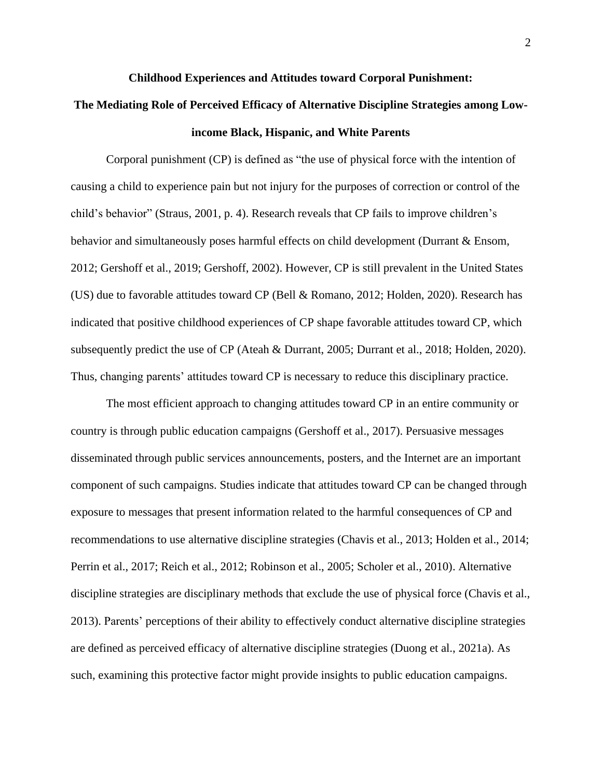#### **Childhood Experiences and Attitudes toward Corporal Punishment:**

## **The Mediating Role of Perceived Efficacy of Alternative Discipline Strategies among Lowincome Black, Hispanic, and White Parents**

Corporal punishment (CP) is defined as "the use of physical force with the intention of causing a child to experience pain but not injury for the purposes of correction or control of the child's behavior" (Straus, 2001, p. 4). Research reveals that CP fails to improve children's behavior and simultaneously poses harmful effects on child development (Durrant & Ensom, 2012; Gershoff et al., 2019; Gershoff, 2002). However, CP is still prevalent in the United States (US) due to favorable attitudes toward CP (Bell & Romano, 2012; Holden, 2020). Research has indicated that positive childhood experiences of CP shape favorable attitudes toward CP, which subsequently predict the use of CP (Ateah & Durrant, 2005; Durrant et al., 2018; Holden, 2020). Thus, changing parents' attitudes toward CP is necessary to reduce this disciplinary practice.

The most efficient approach to changing attitudes toward CP in an entire community or country is through public education campaigns (Gershoff et al., 2017). Persuasive messages disseminated through public services announcements, posters, and the Internet are an important component of such campaigns. Studies indicate that attitudes toward CP can be changed through exposure to messages that present information related to the harmful consequences of CP and recommendations to use alternative discipline strategies (Chavis et al., 2013; Holden et al., 2014; Perrin et al., 2017; Reich et al., 2012; Robinson et al., 2005; Scholer et al., 2010). Alternative discipline strategies are disciplinary methods that exclude the use of physical force (Chavis et al., 2013). Parents' perceptions of their ability to effectively conduct alternative discipline strategies are defined as perceived efficacy of alternative discipline strategies (Duong et al., 2021a). As such, examining this protective factor might provide insights to public education campaigns.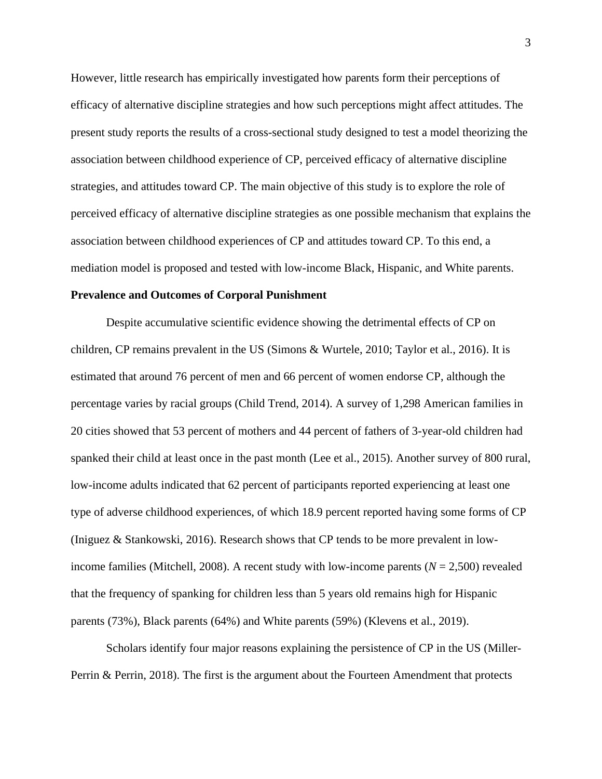However, little research has empirically investigated how parents form their perceptions of efficacy of alternative discipline strategies and how such perceptions might affect attitudes. The present study reports the results of a cross-sectional study designed to test a model theorizing the association between childhood experience of CP, perceived efficacy of alternative discipline strategies, and attitudes toward CP. The main objective of this study is to explore the role of perceived efficacy of alternative discipline strategies as one possible mechanism that explains the association between childhood experiences of CP and attitudes toward CP. To this end, a mediation model is proposed and tested with low-income Black, Hispanic, and White parents.

#### **Prevalence and Outcomes of Corporal Punishment**

Despite accumulative scientific evidence showing the detrimental effects of CP on children, CP remains prevalent in the US (Simons & Wurtele, 2010; Taylor et al., 2016). It is estimated that around 76 percent of men and 66 percent of women endorse CP, although the percentage varies by racial groups (Child Trend, 2014). A survey of 1,298 American families in 20 cities showed that 53 percent of mothers and 44 percent of fathers of 3-year-old children had spanked their child at least once in the past month (Lee et al., 2015). Another survey of 800 rural, low-income adults indicated that 62 percent of participants reported experiencing at least one type of adverse childhood experiences, of which 18.9 percent reported having some forms of CP (Iniguez & Stankowski, 2016). Research shows that CP tends to be more prevalent in lowincome families (Mitchell, 2008). A recent study with low-income parents  $(N = 2,500)$  revealed that the frequency of spanking for children less than 5 years old remains high for Hispanic parents (73%), Black parents (64%) and White parents (59%) (Klevens et al., 2019).

Scholars identify four major reasons explaining the persistence of CP in the US (Miller-Perrin & Perrin, 2018). The first is the argument about the Fourteen Amendment that protects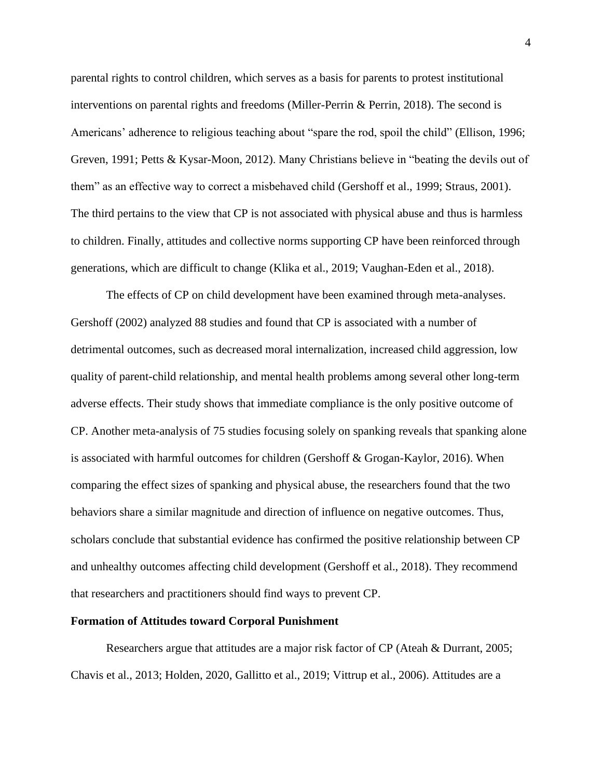parental rights to control children, which serves as a basis for parents to protest institutional interventions on parental rights and freedoms (Miller-Perrin & Perrin, 2018). The second is Americans' adherence to religious teaching about "spare the rod, spoil the child" (Ellison, 1996; Greven, 1991; Petts & Kysar-Moon, 2012). Many Christians believe in "beating the devils out of them" as an effective way to correct a misbehaved child (Gershoff et al., 1999; Straus, 2001). The third pertains to the view that CP is not associated with physical abuse and thus is harmless to children. Finally, attitudes and collective norms supporting CP have been reinforced through generations, which are difficult to change (Klika et al., 2019; Vaughan-Eden et al., 2018).

The effects of CP on child development have been examined through meta-analyses. Gershoff (2002) analyzed 88 studies and found that CP is associated with a number of detrimental outcomes, such as decreased moral internalization, increased child aggression, low quality of parent-child relationship, and mental health problems among several other long-term adverse effects. Their study shows that immediate compliance is the only positive outcome of CP. Another meta-analysis of 75 studies focusing solely on spanking reveals that spanking alone is associated with harmful outcomes for children (Gershoff  $&$  Grogan-Kaylor, 2016). When comparing the effect sizes of spanking and physical abuse, the researchers found that the two behaviors share a similar magnitude and direction of influence on negative outcomes. Thus, scholars conclude that substantial evidence has confirmed the positive relationship between CP and unhealthy outcomes affecting child development (Gershoff et al., 2018). They recommend that researchers and practitioners should find ways to prevent CP.

#### **Formation of Attitudes toward Corporal Punishment**

Researchers argue that attitudes are a major risk factor of CP (Ateah & Durrant, 2005; Chavis et al., 2013; Holden, 2020, Gallitto et al., 2019; Vittrup et al., 2006). Attitudes are a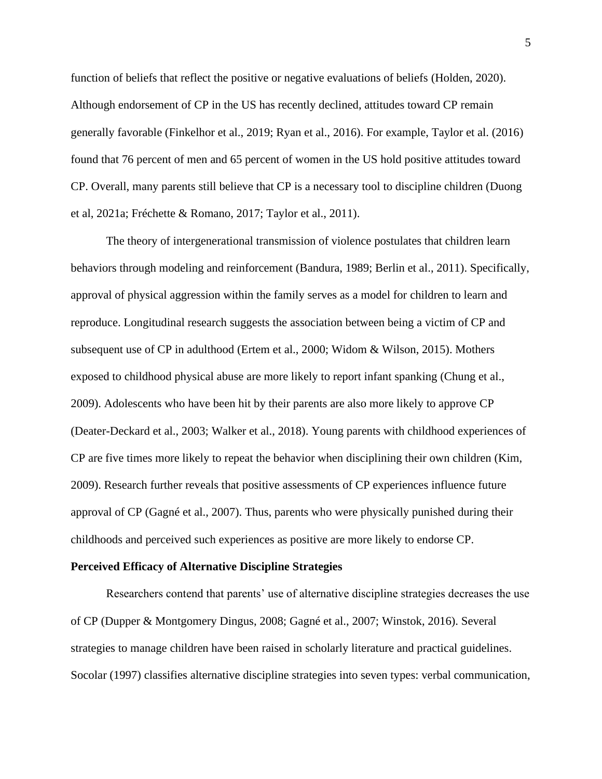function of beliefs that reflect the positive or negative evaluations of beliefs (Holden, 2020). Although endorsement of CP in the US has recently declined, attitudes toward CP remain generally favorable (Finkelhor et al., 2019; Ryan et al., 2016). For example, Taylor et al. (2016) found that 76 percent of men and 65 percent of women in the US hold positive attitudes toward CP. Overall, many parents still believe that CP is a necessary tool to discipline children (Duong et al, 2021a; Fréchette & Romano, 2017; Taylor et al., 2011).

The theory of intergenerational transmission of violence postulates that children learn behaviors through modeling and reinforcement (Bandura, 1989; Berlin et al., 2011). Specifically, approval of physical aggression within the family serves as a model for children to learn and reproduce. Longitudinal research suggests the association between being a victim of CP and subsequent use of CP in adulthood (Ertem et al., 2000; Widom & Wilson, 2015). Mothers exposed to childhood physical abuse are more likely to report infant spanking (Chung et al., 2009). Adolescents who have been hit by their parents are also more likely to approve CP (Deater-Deckard et al., 2003; Walker et al., 2018). Young parents with childhood experiences of CP are five times more likely to repeat the behavior when disciplining their own children (Kim, 2009). Research further reveals that positive assessments of CP experiences influence future approval of CP (Gagné et al., 2007). Thus, parents who were physically punished during their childhoods and perceived such experiences as positive are more likely to endorse CP.

#### **Perceived Efficacy of Alternative Discipline Strategies**

Researchers contend that parents' use of alternative discipline strategies decreases the use of CP (Dupper & Montgomery Dingus, 2008; Gagné et al., 2007; Winstok, 2016). Several strategies to manage children have been raised in scholarly literature and practical guidelines. Socolar (1997) classifies alternative discipline strategies into seven types: verbal communication,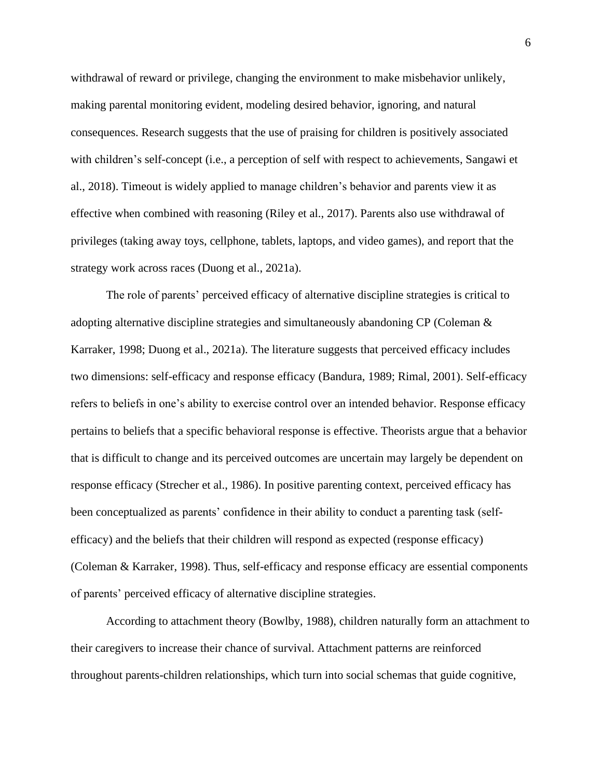withdrawal of reward or privilege, changing the environment to make misbehavior unlikely, making parental monitoring evident, modeling desired behavior, ignoring, and natural consequences. Research suggests that the use of praising for children is positively associated with children's self-concept (i.e., a perception of self with respect to achievements, Sangawi et al., 2018). Timeout is widely applied to manage children's behavior and parents view it as effective when combined with reasoning (Riley et al., 2017). Parents also use withdrawal of privileges (taking away toys, cellphone, tablets, laptops, and video games), and report that the strategy work across races (Duong et al., 2021a).

The role of parents' perceived efficacy of alternative discipline strategies is critical to adopting alternative discipline strategies and simultaneously abandoning CP (Coleman & Karraker, 1998; Duong et al., 2021a). The literature suggests that perceived efficacy includes two dimensions: self-efficacy and response efficacy (Bandura, 1989; Rimal, 2001). Self-efficacy refers to beliefs in one's ability to exercise control over an intended behavior. Response efficacy pertains to beliefs that a specific behavioral response is effective. Theorists argue that a behavior that is difficult to change and its perceived outcomes are uncertain may largely be dependent on response efficacy (Strecher et al., 1986). In positive parenting context, perceived efficacy has been conceptualized as parents' confidence in their ability to conduct a parenting task (selfefficacy) and the beliefs that their children will respond as expected (response efficacy) (Coleman & Karraker, 1998). Thus, self-efficacy and response efficacy are essential components of parents' perceived efficacy of alternative discipline strategies.

According to attachment theory (Bowlby, 1988), children naturally form an attachment to their caregivers to increase their chance of survival. Attachment patterns are reinforced throughout parents-children relationships, which turn into social schemas that guide cognitive,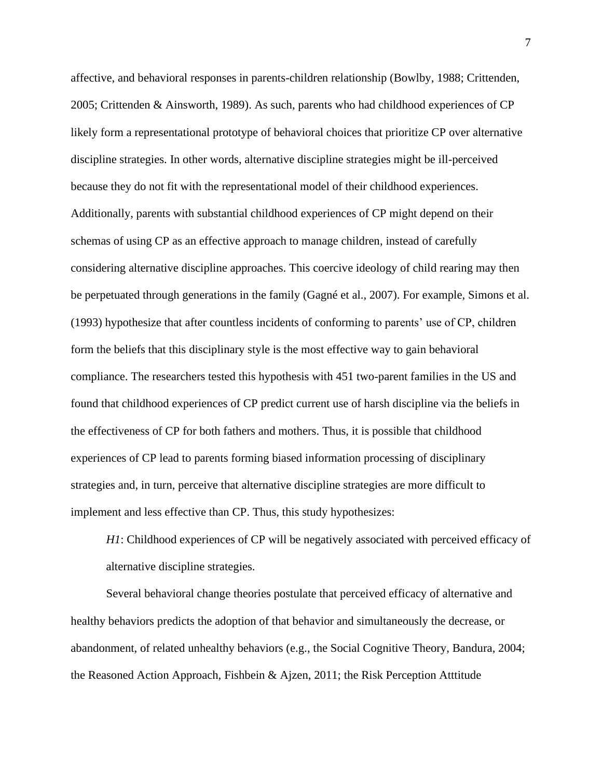affective, and behavioral responses in parents-children relationship (Bowlby, 1988; Crittenden, 2005; Crittenden & Ainsworth, 1989). As such, parents who had childhood experiences of CP likely form a representational prototype of behavioral choices that prioritize CP over alternative discipline strategies. In other words, alternative discipline strategies might be ill-perceived because they do not fit with the representational model of their childhood experiences. Additionally, parents with substantial childhood experiences of CP might depend on their schemas of using CP as an effective approach to manage children, instead of carefully considering alternative discipline approaches. This coercive ideology of child rearing may then be perpetuated through generations in the family (Gagné et al., 2007). For example, Simons et al. (1993) hypothesize that after countless incidents of conforming to parents' use of CP, children form the beliefs that this disciplinary style is the most effective way to gain behavioral compliance. The researchers tested this hypothesis with 451 two-parent families in the US and found that childhood experiences of CP predict current use of harsh discipline via the beliefs in the effectiveness of CP for both fathers and mothers. Thus, it is possible that childhood experiences of CP lead to parents forming biased information processing of disciplinary strategies and, in turn, perceive that alternative discipline strategies are more difficult to implement and less effective than CP. Thus, this study hypothesizes:

*H1*: Childhood experiences of CP will be negatively associated with perceived efficacy of alternative discipline strategies.

Several behavioral change theories postulate that perceived efficacy of alternative and healthy behaviors predicts the adoption of that behavior and simultaneously the decrease, or abandonment, of related unhealthy behaviors (e.g., the Social Cognitive Theory, Bandura, 2004; the Reasoned Action Approach, Fishbein & Ajzen, 2011; the Risk Perception Atttitude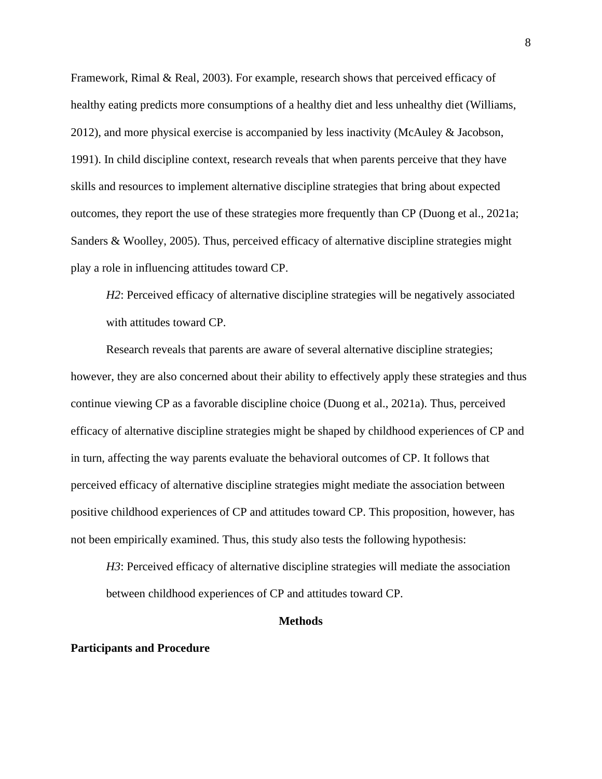Framework, Rimal & Real, 2003). For example, research shows that perceived efficacy of healthy eating predicts more consumptions of a healthy diet and less unhealthy diet (Williams, 2012), and more physical exercise is accompanied by less inactivity (McAuley & Jacobson, 1991). In child discipline context, research reveals that when parents perceive that they have skills and resources to implement alternative discipline strategies that bring about expected outcomes, they report the use of these strategies more frequently than CP (Duong et al., 2021a; Sanders & Woolley, 2005). Thus, perceived efficacy of alternative discipline strategies might play a role in influencing attitudes toward CP.

*H2*: Perceived efficacy of alternative discipline strategies will be negatively associated with attitudes toward CP.

Research reveals that parents are aware of several alternative discipline strategies; however, they are also concerned about their ability to effectively apply these strategies and thus continue viewing CP as a favorable discipline choice (Duong et al., 2021a). Thus, perceived efficacy of alternative discipline strategies might be shaped by childhood experiences of CP and in turn, affecting the way parents evaluate the behavioral outcomes of CP. It follows that perceived efficacy of alternative discipline strategies might mediate the association between positive childhood experiences of CP and attitudes toward CP. This proposition, however, has not been empirically examined. Thus, this study also tests the following hypothesis:

*H3*: Perceived efficacy of alternative discipline strategies will mediate the association between childhood experiences of CP and attitudes toward CP.

#### **Methods**

#### **Participants and Procedure**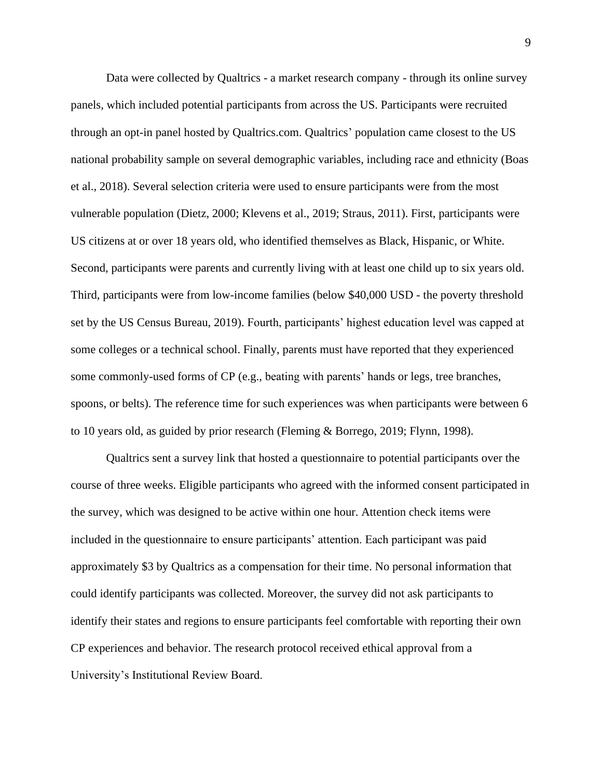Data were collected by Qualtrics - a market research company - through its online survey panels, which included potential participants from across the US. Participants were recruited through an opt-in panel hosted by Qualtrics.com. Qualtrics' population came closest to the US national probability sample on several demographic variables, including race and ethnicity (Boas et al., 2018). Several selection criteria were used to ensure participants were from the most vulnerable population (Dietz, 2000; Klevens et al., 2019; Straus, 2011). First, participants were US citizens at or over 18 years old, who identified themselves as Black, Hispanic, or White. Second, participants were parents and currently living with at least one child up to six years old. Third, participants were from low-income families (below \$40,000 USD - the poverty threshold set by the US Census Bureau, 2019). Fourth, participants' highest education level was capped at some colleges or a technical school. Finally, parents must have reported that they experienced some commonly-used forms of CP (e.g., beating with parents' hands or legs, tree branches, spoons, or belts). The reference time for such experiences was when participants were between 6 to 10 years old, as guided by prior research (Fleming & Borrego, 2019; Flynn, 1998).

Qualtrics sent a survey link that hosted a questionnaire to potential participants over the course of three weeks. Eligible participants who agreed with the informed consent participated in the survey, which was designed to be active within one hour. Attention check items were included in the questionnaire to ensure participants' attention. Each participant was paid approximately \$3 by Qualtrics as a compensation for their time. No personal information that could identify participants was collected. Moreover, the survey did not ask participants to identify their states and regions to ensure participants feel comfortable with reporting their own CP experiences and behavior. The research protocol received ethical approval from a University's Institutional Review Board.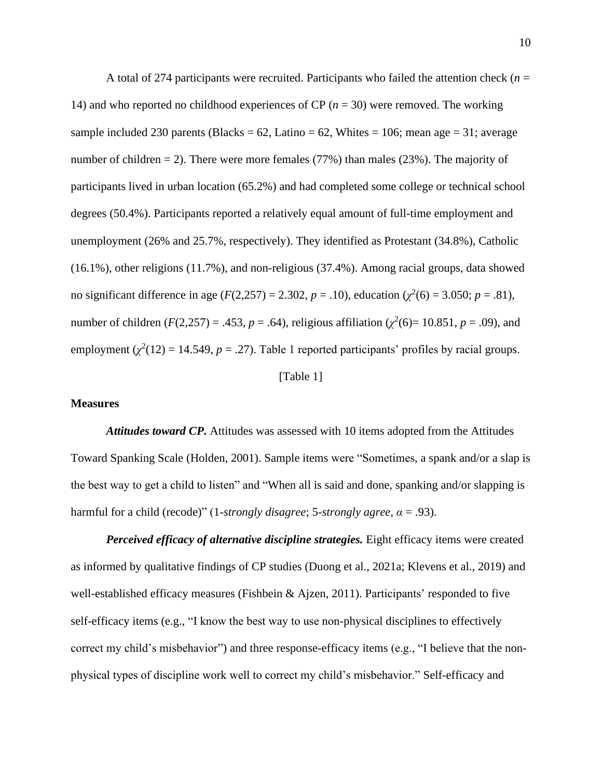A total of 274 participants were recruited. Participants who failed the attention check ( $n =$ 14) and who reported no childhood experiences of CP  $(n = 30)$  were removed. The working sample included 230 parents (Blacks =  $62$ , Latino =  $62$ , Whites = 106; mean age = 31; average number of children  $= 2$ ). There were more females (77%) than males (23%). The majority of participants lived in urban location (65.2%) and had completed some college or technical school degrees (50.4%). Participants reported a relatively equal amount of full-time employment and unemployment (26% and 25.7%, respectively). They identified as Protestant (34.8%), Catholic (16.1%), other religions (11.7%), and non-religious (37.4%). Among racial groups, data showed no significant difference in age (*F*(2,257) = 2.302, *p* = .10), education ( $\chi^2$ (6) = 3.050; *p* = .81), number of children ( $F(2,257) = .453$ ,  $p = .64$ ), religious affiliation ( $\chi^2(6) = 10.851$ ,  $p = .09$ ), and employment  $(\chi^2(12) = 14.549, p = .27)$ . Table 1 reported participants' profiles by racial groups.

[Table 1]

#### **Measures**

*Attitudes toward CP.* Attitudes was assessed with 10 items adopted from the Attitudes Toward Spanking Scale (Holden, 2001). Sample items were "Sometimes, a spank and/or a slap is the best way to get a child to listen" and "When all is said and done, spanking and/or slapping is harmful for a child (recode)" (1-*strongly disagree*; 5-*strongly agree*, *α* = .93).

*Perceived efficacy of alternative discipline strategies.* Eight efficacy items were created as informed by qualitative findings of CP studies (Duong et al., 2021a; Klevens et al., 2019) and well-established efficacy measures (Fishbein & Ajzen, 2011). Participants' responded to five self-efficacy items (e.g., "I know the best way to use non-physical disciplines to effectively correct my child's misbehavior") and three response-efficacy items (e.g., "I believe that the nonphysical types of discipline work well to correct my child's misbehavior." Self-efficacy and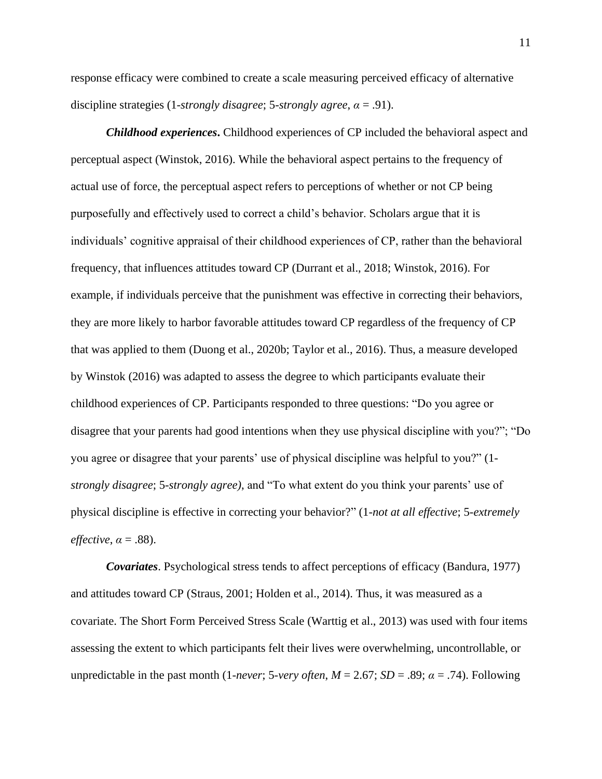response efficacy were combined to create a scale measuring perceived efficacy of alternative discipline strategies (1-*strongly disagree*; 5-*strongly agree*, *α* = .91).

*Childhood experiences***.** Childhood experiences of CP included the behavioral aspect and perceptual aspect (Winstok, 2016). While the behavioral aspect pertains to the frequency of actual use of force, the perceptual aspect refers to perceptions of whether or not CP being purposefully and effectively used to correct a child's behavior. Scholars argue that it is individuals' cognitive appraisal of their childhood experiences of CP, rather than the behavioral frequency, that influences attitudes toward CP (Durrant et al., 2018; Winstok, 2016). For example, if individuals perceive that the punishment was effective in correcting their behaviors, they are more likely to harbor favorable attitudes toward CP regardless of the frequency of CP that was applied to them (Duong et al., 2020b; Taylor et al., 2016). Thus, a measure developed by Winstok (2016) was adapted to assess the degree to which participants evaluate their childhood experiences of CP. Participants responded to three questions: "Do you agree or disagree that your parents had good intentions when they use physical discipline with you?"; "Do you agree or disagree that your parents' use of physical discipline was helpful to you?" (1 *strongly disagree*; 5-*strongly agree)*, and "To what extent do you think your parents' use of physical discipline is effective in correcting your behavior?" (1-*not at all effective*; 5-*extremely effective*,  $\alpha = .88$ ).

*Covariates*. Psychological stress tends to affect perceptions of efficacy (Bandura, 1977) and attitudes toward CP (Straus, 2001; Holden et al., 2014). Thus, it was measured as a covariate. The Short Form Perceived Stress Scale (Warttig et al., 2013) was used with four items assessing the extent to which participants felt their lives were overwhelming, uncontrollable, or unpredictable in the past month (1-*never*; 5-*very often*,  $M = 2.67$ ;  $SD = .89$ ;  $\alpha = .74$ ). Following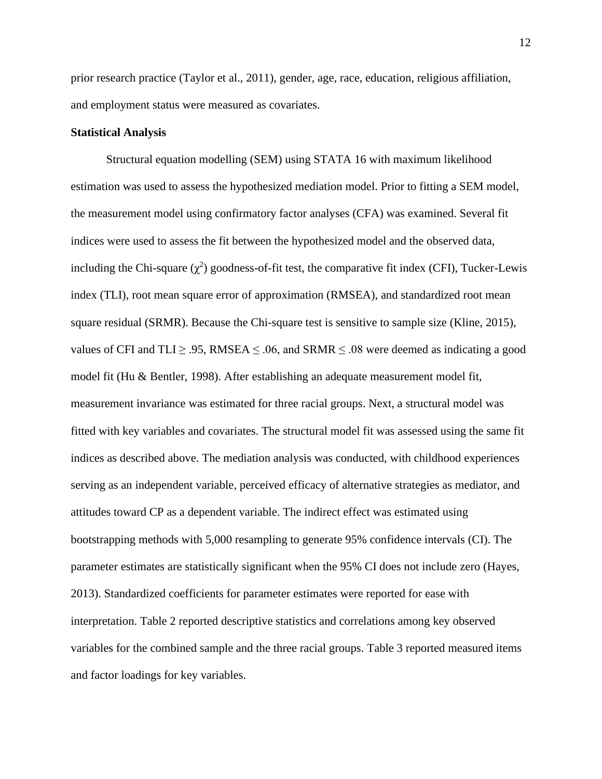prior research practice (Taylor et al., 2011), gender, age, race, education, religious affiliation, and employment status were measured as covariates.

#### **Statistical Analysis**

Structural equation modelling (SEM) using STATA 16 with maximum likelihood estimation was used to assess the hypothesized mediation model. Prior to fitting a SEM model, the measurement model using confirmatory factor analyses (CFA) was examined. Several fit indices were used to assess the fit between the hypothesized model and the observed data, including the Chi-square  $(\chi^2)$  goodness-of-fit test, the comparative fit index (CFI), Tucker-Lewis index (TLI), root mean square error of approximation (RMSEA), and standardized root mean square residual (SRMR). Because the Chi-square test is sensitive to sample size (Kline, 2015), values of CFI and TLI  $\geq$  .95, RMSEA  $\leq$  .06, and SRMR  $\leq$  .08 were deemed as indicating a good model fit (Hu & Bentler, 1998). After establishing an adequate measurement model fit, measurement invariance was estimated for three racial groups. Next, a structural model was fitted with key variables and covariates. The structural model fit was assessed using the same fit indices as described above. The mediation analysis was conducted, with childhood experiences serving as an independent variable, perceived efficacy of alternative strategies as mediator, and attitudes toward CP as a dependent variable. The indirect effect was estimated using bootstrapping methods with 5,000 resampling to generate 95% confidence intervals (CI). The parameter estimates are statistically significant when the 95% CI does not include zero (Hayes, 2013). Standardized coefficients for parameter estimates were reported for ease with interpretation. Table 2 reported descriptive statistics and correlations among key observed variables for the combined sample and the three racial groups. Table 3 reported measured items and factor loadings for key variables.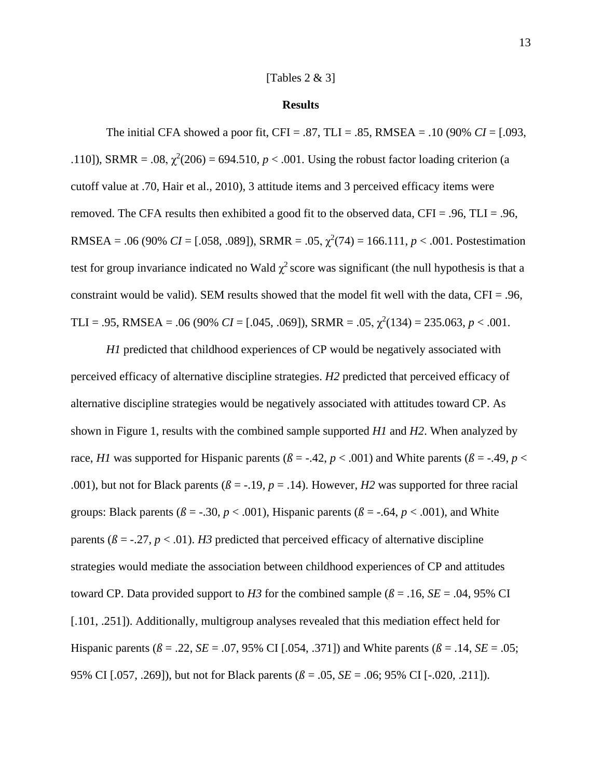#### [Tables 2 & 3]

#### **Results**

The initial CFA showed a poor fit, CFI = .87, TLI = .85, RMSEA = .10 (90% *CI* = [.093, .110]), SRMR = .08,  $\chi^2(206) = 694.510$ ,  $p < .001$ . Using the robust factor loading criterion (a cutoff value at .70, Hair et al., 2010), 3 attitude items and 3 perceived efficacy items were removed. The CFA results then exhibited a good fit to the observed data, CFI = .96, TLI = .96, RMSEA = .06 (90% *CI* = [.058, .089]), SRMR = .05,  $\chi^2(74)$  = 166.111, *p* < .001. Postestimation test for group invariance indicated no Wald  $\chi^2$  score was significant (the null hypothesis is that a constraint would be valid). SEM results showed that the model fit well with the data,  $CFI = .96$ , TLI = .95, RMSEA = .06 (90% *CI* = [.045, .069]), SRMR = .05,  $\chi^2(134) = 235.063$ ,  $p < .001$ .

*H1* predicted that childhood experiences of CP would be negatively associated with perceived efficacy of alternative discipline strategies. *H2* predicted that perceived efficacy of alternative discipline strategies would be negatively associated with attitudes toward CP. As shown in Figure 1, results with the combined sample supported *H1* and *H2*. When analyzed by race, *H1* was supported for Hispanic parents ( $\beta$  = -.42,  $p$  < .001) and White parents ( $\beta$  = -.49,  $p$  < .001), but not for Black parents ( $\beta$  = -.19,  $p$  = .14). However, *H2* was supported for three racial groups: Black parents ( $\beta$  = -.30,  $p$  < .001), Hispanic parents ( $\beta$  = -.64,  $p$  < .001), and White parents ( $\beta$  = -.27,  $p$  < .01). *H3* predicted that perceived efficacy of alternative discipline strategies would mediate the association between childhood experiences of CP and attitudes toward CP. Data provided support to *H3* for the combined sample ( $\beta$  = .16, *SE* = .04, 95% CI [.101, .251]). Additionally, multigroup analyses revealed that this mediation effect held for Hispanic parents ( $\beta$  = .22, *SE* = .07, 95% CI [.054, .371]) and White parents ( $\beta$  = .14, *SE* = .05; 95% CI [.057, .269]), but not for Black parents (*ß* = .05, *SE* = .06; 95% CI [-.020, .211]).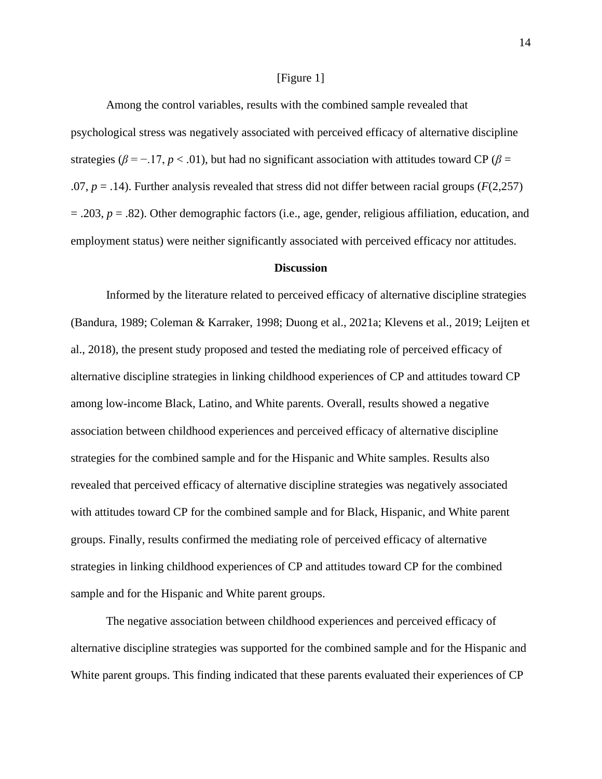#### [Figure 1]

Among the control variables, results with the combined sample revealed that psychological stress was negatively associated with perceived efficacy of alternative discipline strategies ( $\beta$  = -.17,  $p$  < .01), but had no significant association with attitudes toward CP ( $\beta$  =  $.07, p = .14$ ). Further analysis revealed that stress did not differ between racial groups ( $F(2,257)$ ) = .203, *p* = .82). Other demographic factors (i.e., age, gender, religious affiliation, education, and employment status) were neither significantly associated with perceived efficacy nor attitudes.

#### **Discussion**

Informed by the literature related to perceived efficacy of alternative discipline strategies (Bandura, 1989; Coleman & Karraker, 1998; Duong et al., 2021a; Klevens et al., 2019; Leijten et al., 2018), the present study proposed and tested the mediating role of perceived efficacy of alternative discipline strategies in linking childhood experiences of CP and attitudes toward CP among low-income Black, Latino, and White parents. Overall, results showed a negative association between childhood experiences and perceived efficacy of alternative discipline strategies for the combined sample and for the Hispanic and White samples. Results also revealed that perceived efficacy of alternative discipline strategies was negatively associated with attitudes toward CP for the combined sample and for Black, Hispanic, and White parent groups. Finally, results confirmed the mediating role of perceived efficacy of alternative strategies in linking childhood experiences of CP and attitudes toward CP for the combined sample and for the Hispanic and White parent groups.

The negative association between childhood experiences and perceived efficacy of alternative discipline strategies was supported for the combined sample and for the Hispanic and White parent groups. This finding indicated that these parents evaluated their experiences of CP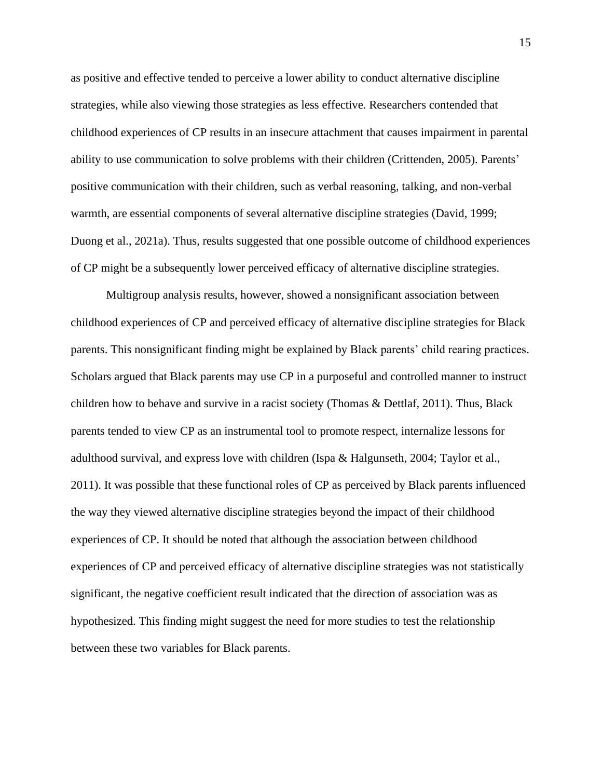as positive and effective tended to perceive a lower ability to conduct alternative discipline strategies, while also viewing those strategies as less effective. Researchers contended that childhood experiences of CP results in an insecure attachment that causes impairment in parental ability to use communication to solve problems with their children (Crittenden, 2005). Parents' positive communication with their children, such as verbal reasoning, talking, and non-verbal warmth, are essential components of several alternative discipline strategies (David, 1999; Duong et al., 2021a). Thus, results suggested that one possible outcome of childhood experiences of CP might be a subsequently lower perceived efficacy of alternative discipline strategies.

Multigroup analysis results, however, showed a nonsignificant association between childhood experiences of CP and perceived efficacy of alternative discipline strategies for Black parents. This nonsignificant finding might be explained by Black parents' child rearing practices. Scholars argued that Black parents may use CP in a purposeful and controlled manner to instruct children how to behave and survive in a racist society (Thomas & Dettlaf, 2011). Thus, Black parents tended to view CP as an instrumental tool to promote respect, internalize lessons for adulthood survival, and express love with children (Ispa & Halgunseth, 2004; Taylor et al., 2011). It was possible that these functional roles of CP as perceived by Black parents influenced the way they viewed alternative discipline strategies beyond the impact of their childhood experiences of CP. It should be noted that although the association between childhood experiences of CP and perceived efficacy of alternative discipline strategies was not statistically significant, the negative coefficient result indicated that the direction of association was as hypothesized. This finding might suggest the need for more studies to test the relationship between these two variables for Black parents.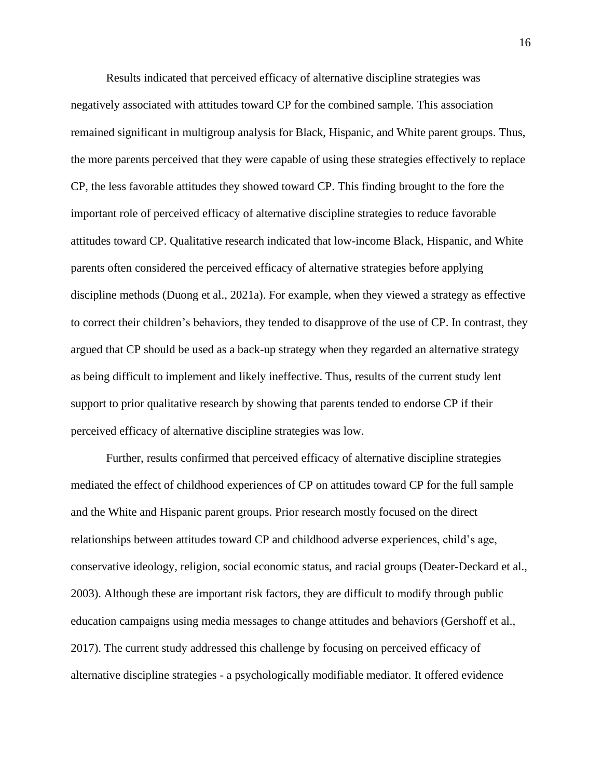Results indicated that perceived efficacy of alternative discipline strategies was negatively associated with attitudes toward CP for the combined sample. This association remained significant in multigroup analysis for Black, Hispanic, and White parent groups. Thus, the more parents perceived that they were capable of using these strategies effectively to replace CP, the less favorable attitudes they showed toward CP. This finding brought to the fore the important role of perceived efficacy of alternative discipline strategies to reduce favorable attitudes toward CP. Qualitative research indicated that low-income Black, Hispanic, and White parents often considered the perceived efficacy of alternative strategies before applying discipline methods (Duong et al., 2021a). For example, when they viewed a strategy as effective to correct their children's behaviors, they tended to disapprove of the use of CP. In contrast, they argued that CP should be used as a back-up strategy when they regarded an alternative strategy as being difficult to implement and likely ineffective. Thus, results of the current study lent support to prior qualitative research by showing that parents tended to endorse CP if their perceived efficacy of alternative discipline strategies was low.

Further, results confirmed that perceived efficacy of alternative discipline strategies mediated the effect of childhood experiences of CP on attitudes toward CP for the full sample and the White and Hispanic parent groups. Prior research mostly focused on the direct relationships between attitudes toward CP and childhood adverse experiences, child's age, conservative ideology, religion, social economic status, and racial groups (Deater-Deckard et al., 2003). Although these are important risk factors, they are difficult to modify through public education campaigns using media messages to change attitudes and behaviors (Gershoff et al., 2017). The current study addressed this challenge by focusing on perceived efficacy of alternative discipline strategies - a psychologically modifiable mediator. It offered evidence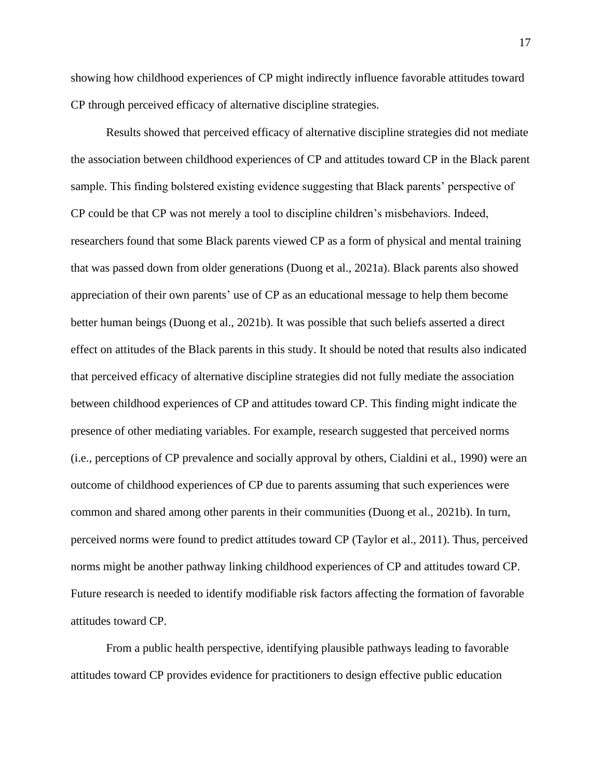showing how childhood experiences of CP might indirectly influence favorable attitudes toward CP through perceived efficacy of alternative discipline strategies.

Results showed that perceived efficacy of alternative discipline strategies did not mediate the association between childhood experiences of CP and attitudes toward CP in the Black parent sample. This finding bolstered existing evidence suggesting that Black parents' perspective of CP could be that CP was not merely a tool to discipline children's misbehaviors. Indeed, researchers found that some Black parents viewed CP as a form of physical and mental training that was passed down from older generations (Duong et al., 2021a). Black parents also showed appreciation of their own parents' use of CP as an educational message to help them become better human beings (Duong et al., 2021b). It was possible that such beliefs asserted a direct effect on attitudes of the Black parents in this study. It should be noted that results also indicated that perceived efficacy of alternative discipline strategies did not fully mediate the association between childhood experiences of CP and attitudes toward CP. This finding might indicate the presence of other mediating variables. For example, research suggested that perceived norms (i.e., perceptions of CP prevalence and socially approval by others, Cialdini et al., 1990) were an outcome of childhood experiences of CP due to parents assuming that such experiences were common and shared among other parents in their communities (Duong et al., 2021b). In turn, perceived norms were found to predict attitudes toward CP (Taylor et al., 2011). Thus, perceived norms might be another pathway linking childhood experiences of CP and attitudes toward CP. Future research is needed to identify modifiable risk factors affecting the formation of favorable attitudes toward CP.

From a public health perspective, identifying plausible pathways leading to favorable attitudes toward CP provides evidence for practitioners to design effective public education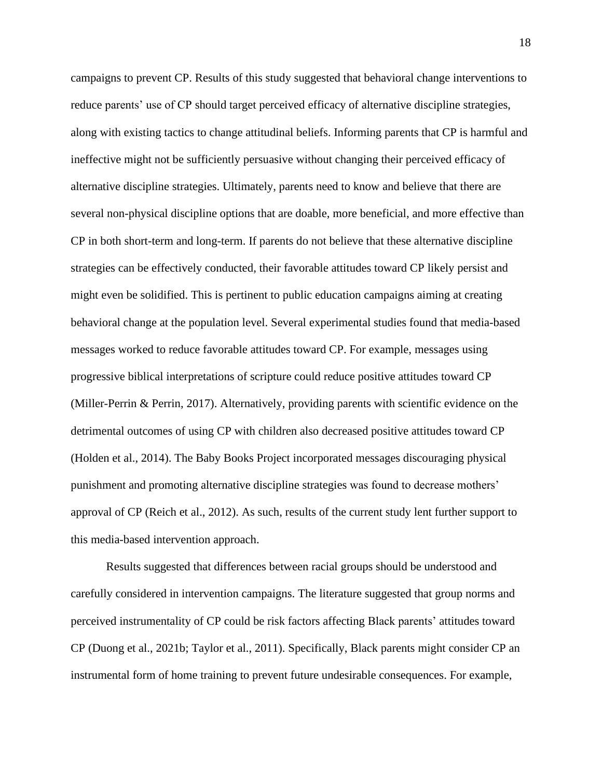campaigns to prevent CP. Results of this study suggested that behavioral change interventions to reduce parents' use of CP should target perceived efficacy of alternative discipline strategies, along with existing tactics to change attitudinal beliefs. Informing parents that CP is harmful and ineffective might not be sufficiently persuasive without changing their perceived efficacy of alternative discipline strategies. Ultimately, parents need to know and believe that there are several non-physical discipline options that are doable, more beneficial, and more effective than CP in both short-term and long-term. If parents do not believe that these alternative discipline strategies can be effectively conducted, their favorable attitudes toward CP likely persist and might even be solidified. This is pertinent to public education campaigns aiming at creating behavioral change at the population level. Several experimental studies found that media-based messages worked to reduce favorable attitudes toward CP. For example, messages using progressive biblical interpretations of scripture could reduce positive attitudes toward CP (Miller-Perrin & Perrin, 2017). Alternatively, providing parents with scientific evidence on the detrimental outcomes of using CP with children also decreased positive attitudes toward CP (Holden et al., 2014). The Baby Books Project incorporated messages discouraging physical punishment and promoting alternative discipline strategies was found to decrease mothers' approval of CP (Reich et al., 2012). As such, results of the current study lent further support to this media-based intervention approach.

Results suggested that differences between racial groups should be understood and carefully considered in intervention campaigns. The literature suggested that group norms and perceived instrumentality of CP could be risk factors affecting Black parents' attitudes toward CP (Duong et al., 2021b; Taylor et al., 2011). Specifically, Black parents might consider CP an instrumental form of home training to prevent future undesirable consequences. For example,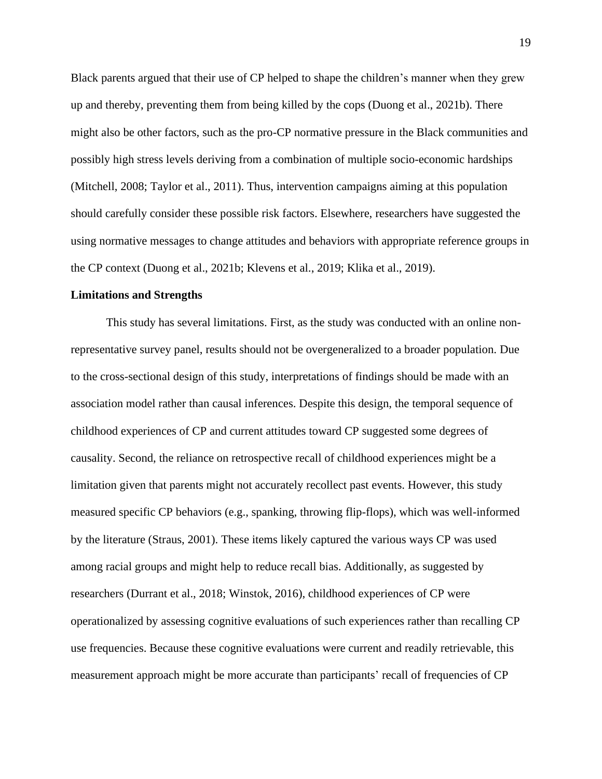Black parents argued that their use of CP helped to shape the children's manner when they grew up and thereby, preventing them from being killed by the cops (Duong et al., 2021b). There might also be other factors, such as the pro-CP normative pressure in the Black communities and possibly high stress levels deriving from a combination of multiple socio-economic hardships (Mitchell, 2008; Taylor et al., 2011). Thus, intervention campaigns aiming at this population should carefully consider these possible risk factors. Elsewhere, researchers have suggested the using normative messages to change attitudes and behaviors with appropriate reference groups in the CP context (Duong et al., 2021b; Klevens et al., 2019; Klika et al., 2019).

#### **Limitations and Strengths**

This study has several limitations. First, as the study was conducted with an online nonrepresentative survey panel, results should not be overgeneralized to a broader population. Due to the cross-sectional design of this study, interpretations of findings should be made with an association model rather than causal inferences. Despite this design, the temporal sequence of childhood experiences of CP and current attitudes toward CP suggested some degrees of causality. Second, the reliance on retrospective recall of childhood experiences might be a limitation given that parents might not accurately recollect past events. However, this study measured specific CP behaviors (e.g., spanking, throwing flip-flops), which was well-informed by the literature (Straus, 2001). These items likely captured the various ways CP was used among racial groups and might help to reduce recall bias. Additionally, as suggested by researchers (Durrant et al., 2018; Winstok, 2016), childhood experiences of CP were operationalized by assessing cognitive evaluations of such experiences rather than recalling CP use frequencies. Because these cognitive evaluations were current and readily retrievable, this measurement approach might be more accurate than participants' recall of frequencies of CP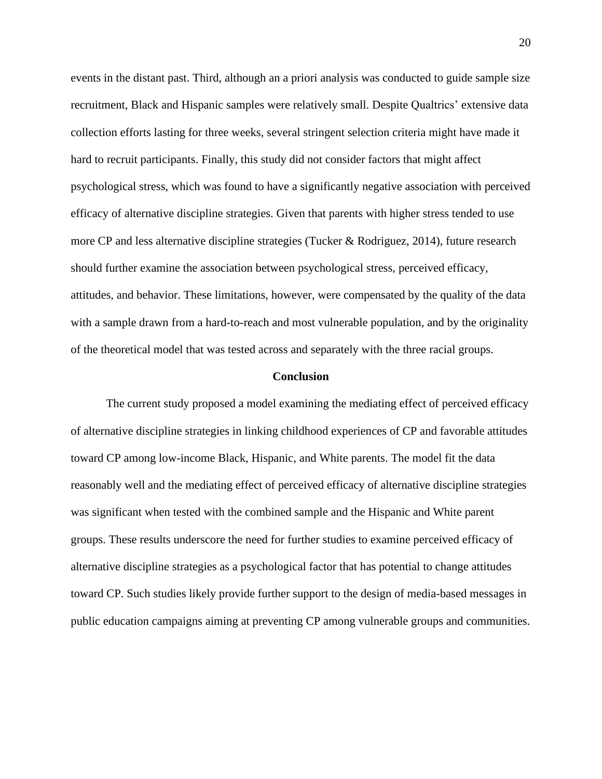events in the distant past. Third, although an a priori analysis was conducted to guide sample size recruitment, Black and Hispanic samples were relatively small. Despite Qualtrics' extensive data collection efforts lasting for three weeks, several stringent selection criteria might have made it hard to recruit participants. Finally, this study did not consider factors that might affect psychological stress, which was found to have a significantly negative association with perceived efficacy of alternative discipline strategies. Given that parents with higher stress tended to use more CP and less alternative discipline strategies (Tucker & Rodriguez, 2014), future research should further examine the association between psychological stress, perceived efficacy, attitudes, and behavior. These limitations, however, were compensated by the quality of the data with a sample drawn from a hard-to-reach and most vulnerable population, and by the originality of the theoretical model that was tested across and separately with the three racial groups.

#### **Conclusion**

The current study proposed a model examining the mediating effect of perceived efficacy of alternative discipline strategies in linking childhood experiences of CP and favorable attitudes toward CP among low-income Black, Hispanic, and White parents. The model fit the data reasonably well and the mediating effect of perceived efficacy of alternative discipline strategies was significant when tested with the combined sample and the Hispanic and White parent groups. These results underscore the need for further studies to examine perceived efficacy of alternative discipline strategies as a psychological factor that has potential to change attitudes toward CP. Such studies likely provide further support to the design of media-based messages in public education campaigns aiming at preventing CP among vulnerable groups and communities.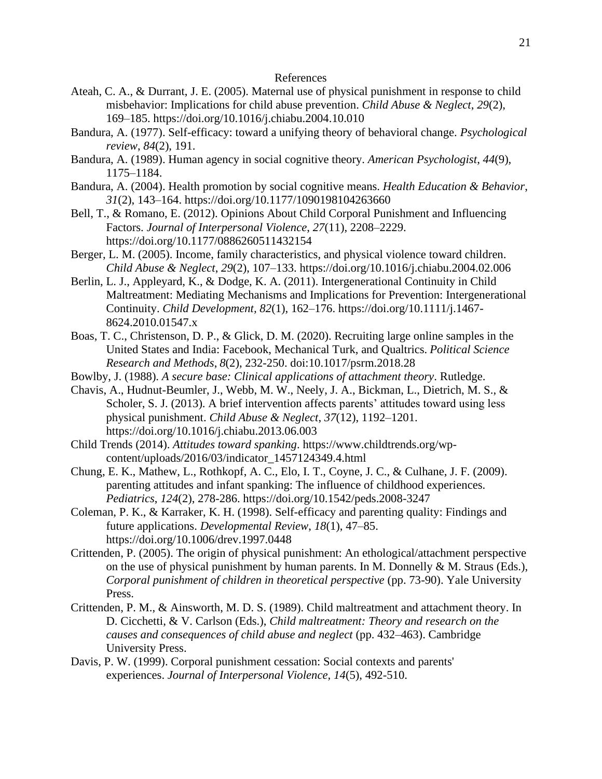### References

- Ateah, C. A., & Durrant, J. E. (2005). Maternal use of physical punishment in response to child misbehavior: Implications for child abuse prevention. *Child Abuse & Neglect*, *29*(2), 169–185. https://doi.org/10.1016/j.chiabu.2004.10.010
- Bandura, A. (1977). Self-efficacy: toward a unifying theory of behavioral change. *Psychological review*, *84*(2), 191.
- Bandura, A. (1989). Human agency in social cognitive theory. *American Psychologist*, *44*(9), 1175–1184.
- Bandura, A. (2004). Health promotion by social cognitive means. *Health Education & Behavior*, *31*(2), 143–164. https://doi.org/10.1177/1090198104263660
- Bell, T., & Romano, E. (2012). Opinions About Child Corporal Punishment and Influencing Factors. *Journal of Interpersonal Violence*, *27*(11), 2208–2229. https://doi.org/10.1177/0886260511432154
- Berger, L. M. (2005). Income, family characteristics, and physical violence toward children. *Child Abuse & Neglect*, *29*(2), 107–133. https://doi.org/10.1016/j.chiabu.2004.02.006
- Berlin, L. J., Appleyard, K., & Dodge, K. A. (2011). Intergenerational Continuity in Child Maltreatment: Mediating Mechanisms and Implications for Prevention: Intergenerational Continuity. *Child Development, 82*(1), 162–176. https://doi.org/10.1111/j.1467- 8624.2010.01547.x
- Boas, T. C., Christenson, D. P., & Glick, D. M. (2020). Recruiting large online samples in the United States and India: Facebook, Mechanical Turk, and Qualtrics. *Political Science Research and Methods*, *8*(2), 232-250. doi:10.1017/psrm.2018.28
- Bowlby, J. (1988). *A secure base: Clinical applications of attachment theory*. Rutledge.
- Chavis, A., Hudnut-Beumler, J., Webb, M. W., Neely, J. A., Bickman, L., Dietrich, M. S., & Scholer, S. J. (2013). A brief intervention affects parents' attitudes toward using less physical punishment. *Child Abuse & Neglect*, *37*(12), 1192–1201. https://doi.org/10.1016/j.chiabu.2013.06.003
- Child Trends (2014). *Attitudes toward spanking*. https://www.childtrends.org/wpcontent/uploads/2016/03/indicator\_1457124349.4.html
- Chung, E. K., Mathew, L., Rothkopf, A. C., Elo, I. T., Coyne, J. C., & Culhane, J. F. (2009). parenting attitudes and infant spanking: The influence of childhood experiences. *Pediatrics*, *124*(2), 278-286. https://doi.org/10.1542/peds.2008-3247
- Coleman, P. K., & Karraker, K. H. (1998). Self-efficacy and parenting quality: Findings and future applications. *Developmental Review*, *18*(1), 47–85. https://doi.org/10.1006/drev.1997.0448
- Crittenden, P. (2005). The origin of physical punishment: An ethological/attachment perspective on the use of physical punishment by human parents. In M. Donnelly  $\&$  M. Straus (Eds.), *Corporal punishment of children in theoretical perspective* (pp. 73-90). Yale University Press.
- Crittenden, P. M., & Ainsworth, M. D. S. (1989). Child maltreatment and attachment theory. In D. Cicchetti, & V. Carlson (Eds.), *Child maltreatment: Theory and research on the causes and consequences of child abuse and neglect* (pp. 432–463). Cambridge University Press.
- Davis, P. W. (1999). Corporal punishment cessation: Social contexts and parents' experiences. *Journal of Interpersonal Violence, 14*(5), 492-510.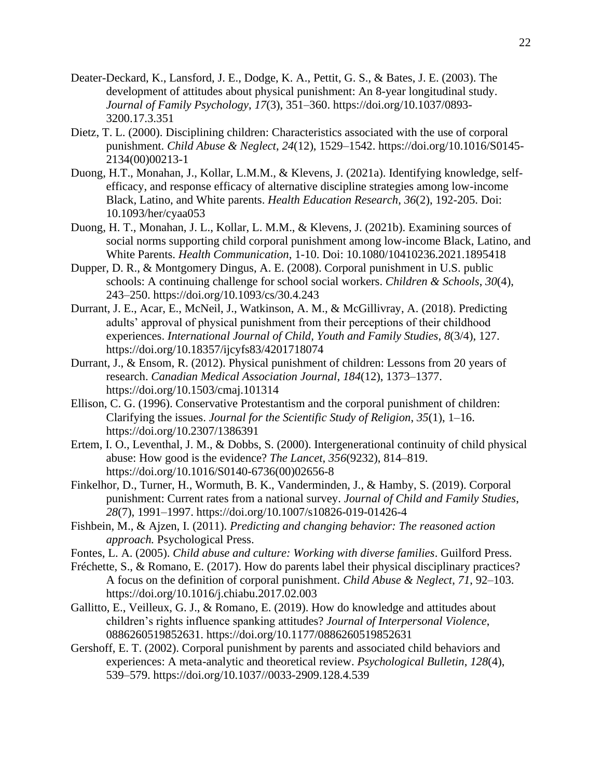- Deater-Deckard, K., Lansford, J. E., Dodge, K. A., Pettit, G. S., & Bates, J. E. (2003). The development of attitudes about physical punishment: An 8-year longitudinal study. *Journal of Family Psychology*, *17*(3), 351–360. https://doi.org/10.1037/0893- 3200.17.3.351
- Dietz, T. L. (2000). Disciplining children: Characteristics associated with the use of corporal punishment. *Child Abuse & Neglect*, *24*(12), 1529–1542. https://doi.org/10.1016/S0145- 2134(00)00213-1
- Duong, H.T., Monahan, J., Kollar, L.M.M., & Klevens, J. (2021a). Identifying knowledge, selfefficacy, and response efficacy of alternative discipline strategies among low-income Black, Latino, and White parents. *Health Education Research*, *36*(2), 192-205. Doi: [10.1093/her/cyaa053](https://nam03.safelinks.protection.outlook.com/?url=http%3A%2F%2Fdx.doi.org%2F10.1093%2Fher%2Fcyaa053&data=04%7C01%7Chduong13%40gsu.edu%7Cf65b7dbd8a364bb4400508d8a2b29c8a%7C515ad73d8d5e4169895c9789dc742a70%7C0%7C0%7C637438236168674559%7CUnknown%7CTWFpbGZsb3d8eyJWIjoiMC4wLjAwMDAiLCJQIjoiV2luMzIiLCJBTiI6Ik1haWwiLCJXVCI6Mn0%3D%7C0&sdata=e7fd90S3gDYFlqe7ZZR3TuCgRxIdCaFFLpf1bTw%2BmTc%3D&reserved=0)
- Duong, H. T., Monahan, J. L., Kollar, L. M.M., & Klevens, J. (2021b). Examining sources of social norms supporting child corporal punishment among low-income Black, Latino, and White Parents. *Health Communication*, 1-10. Doi: 10.1080/10410236.2021.1895418
- Dupper, D. R., & Montgomery Dingus, A. E. (2008). Corporal punishment in U.S. public schools: A continuing challenge for school social workers. *Children & Schools*, *30*(4), 243–250. https://doi.org/10.1093/cs/30.4.243
- Durrant, J. E., Acar, E., McNeil, J., Watkinson, A. M., & McGillivray, A. (2018). Predicting adults' approval of physical punishment from their perceptions of their childhood experiences. *International Journal of Child, Youth and Family Studies*, *8*(3/4), 127. https://doi.org/10.18357/ijcyfs83/4201718074
- Durrant, J., & Ensom, R. (2012). Physical punishment of children: Lessons from 20 years of research. *Canadian Medical Association Journal*, *184*(12), 1373–1377. https://doi.org/10.1503/cmaj.101314
- Ellison, C. G. (1996). Conservative Protestantism and the corporal punishment of children: Clarifying the issues. *Journal for the Scientific Study of Religion*, *35*(1), 1–16. https://doi.org/10.2307/1386391
- Ertem, I. O., Leventhal, J. M., & Dobbs, S. (2000). Intergenerational continuity of child physical abuse: How good is the evidence? *The Lancet*, *356*(9232), 814–819. https://doi.org/10.1016/S0140-6736(00)02656-8
- Finkelhor, D., Turner, H., Wormuth, B. K., Vanderminden, J., & Hamby, S. (2019). Corporal punishment: Current rates from a national survey. *Journal of Child and Family Studies*, *28*(7), 1991–1997. https://doi.org/10.1007/s10826-019-01426-4
- Fishbein, M., & Ajzen, I. (2011). *Predicting and changing behavior: The reasoned action approach.* Psychological Press.
- Fontes, L. A. (2005). *Child abuse and culture: Working with diverse families*. Guilford Press.
- Fréchette, S., & Romano, E. (2017). How do parents label their physical disciplinary practices? A focus on the definition of corporal punishment. *Child Abuse & Neglect*, *71*, 92–103. https://doi.org/10.1016/j.chiabu.2017.02.003
- Gallitto, E., Veilleux, G. J., & Romano, E. (2019). How do knowledge and attitudes about children's rights influence spanking attitudes? *Journal of Interpersonal Violence*, 0886260519852631. https://doi.org/10.1177/0886260519852631
- Gershoff, E. T. (2002). Corporal punishment by parents and associated child behaviors and experiences: A meta-analytic and theoretical review. *Psychological Bulletin*, *128*(4), 539–579. https://doi.org/10.1037//0033-2909.128.4.539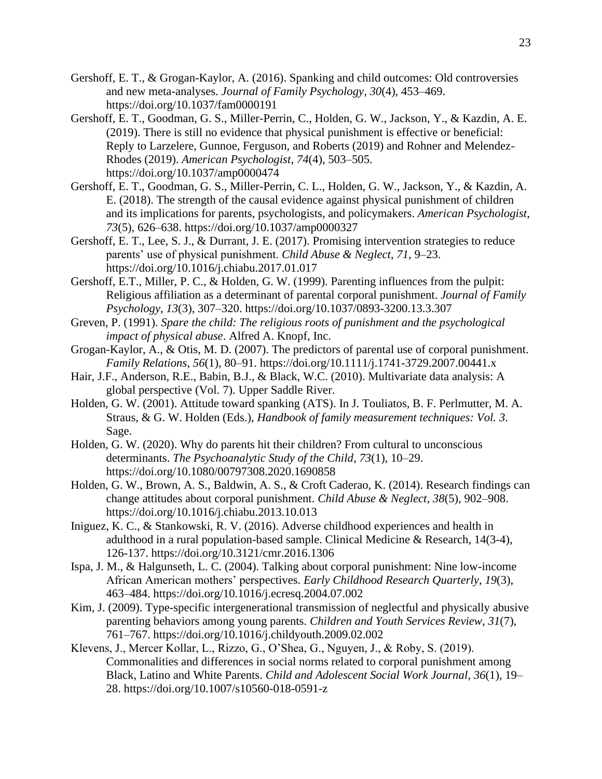- Gershoff, E. T., & Grogan-Kaylor, A. (2016). Spanking and child outcomes: Old controversies and new meta-analyses. *Journal of Family Psychology*, *30*(4), 453–469. https://doi.org/10.1037/fam0000191
- Gershoff, E. T., Goodman, G. S., Miller-Perrin, C., Holden, G. W., Jackson, Y., & Kazdin, A. E. (2019). There is still no evidence that physical punishment is effective or beneficial: Reply to Larzelere, Gunnoe, Ferguson, and Roberts (2019) and Rohner and Melendez-Rhodes (2019). *American Psychologist*, *74*(4), 503–505. https://doi.org/10.1037/amp0000474
- Gershoff, E. T., Goodman, G. S., Miller-Perrin, C. L., Holden, G. W., Jackson, Y., & Kazdin, A. E. (2018). The strength of the causal evidence against physical punishment of children and its implications for parents, psychologists, and policymakers. *American Psychologist*, *73*(5), 626–638. https://doi.org/10.1037/amp0000327
- Gershoff, E. T., Lee, S. J., & Durrant, J. E. (2017). Promising intervention strategies to reduce parents' use of physical punishment. *Child Abuse & Neglect*, *71*, 9–23. https://doi.org/10.1016/j.chiabu.2017.01.017
- Gershoff, E.T., Miller, P. C., & Holden, G. W. (1999). Parenting influences from the pulpit: Religious affiliation as a determinant of parental corporal punishment. *Journal of Family Psychology*, *13*(3), 307–320. https://doi.org/10.1037/0893-3200.13.3.307
- Greven, P. (1991). *Spare the child: The religious roots of punishment and the psychological impact of physical abuse*. Alfred A. Knopf, Inc.
- Grogan-Kaylor, A., & Otis, M. D. (2007). The predictors of parental use of corporal punishment. *Family Relations*, *56*(1), 80–91. https://doi.org/10.1111/j.1741-3729.2007.00441.x
- Hair, J.F., Anderson, R.E., Babin, B.J., & Black, W.C. (2010). Multivariate data analysis: A global perspective (Vol. 7). Upper Saddle River.
- Holden, G. W. (2001). Attitude toward spanking (ATS). In J. Touliatos, B. F. Perlmutter, M. A. Straus, & G. W. Holden (Eds.), *Handbook of family measurement techniques: Vol. 3*. Sage.
- Holden, G. W. (2020). Why do parents hit their children? From cultural to unconscious determinants. *The Psychoanalytic Study of the Child*, *73*(1), 10–29. https://doi.org/10.1080/00797308.2020.1690858
- Holden, G. W., Brown, A. S., Baldwin, A. S., & Croft Caderao, K. (2014). Research findings can change attitudes about corporal punishment. *Child Abuse & Neglect*, *38*(5), 902–908. https://doi.org/10.1016/j.chiabu.2013.10.013
- Iniguez, K. C., & Stankowski, R. V. (2016). Adverse childhood experiences and health in adulthood in a rural population-based sample. Clinical Medicine & Research, 14(3-4), 126-137. https://doi.org[/10.3121/cmr.2016.1306](https://doi.org/10.3121/cmr.2016.1306)
- Ispa, J. M., & Halgunseth, L. C. (2004). Talking about corporal punishment: Nine low-income African American mothers' perspectives. *Early Childhood Research Quarterly*, *19*(3), 463–484. https://doi.org/10.1016/j.ecresq.2004.07.002
- Kim, J. (2009). Type-specific intergenerational transmission of neglectful and physically abusive parenting behaviors among young parents. *Children and Youth Services Review*, *31*(7), 761–767. https://doi.org/10.1016/j.childyouth.2009.02.002
- Klevens, J., Mercer Kollar, L., Rizzo, G., O'Shea, G., Nguyen, J., & Roby, S. (2019). Commonalities and differences in social norms related to corporal punishment among Black, Latino and White Parents. *Child and Adolescent Social Work Journal*, *36*(1), 19– 28. https://doi.org/10.1007/s10560-018-0591-z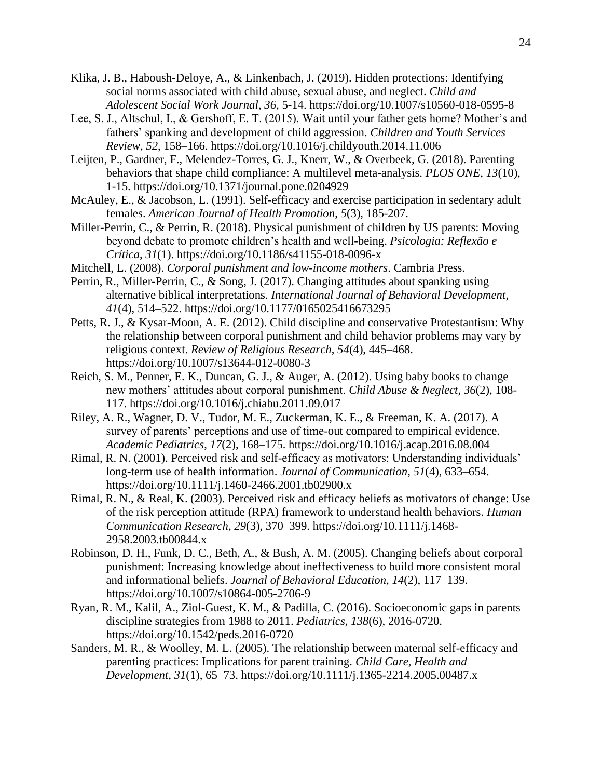- Klika, J. B., Haboush-Deloye, A., & Linkenbach, J. (2019). Hidden protections: Identifying social norms associated with child abuse, sexual abuse, and neglect. *Child and Adolescent Social Work Journal*, *36*, 5-14. https://doi.org/10.1007/s10560-018-0595-8
- Lee, S. J., Altschul, I., & Gershoff, E. T. (2015). Wait until your father gets home? Mother's and fathers' spanking and development of child aggression. *Children and Youth Services Review*, *52*, 158–166. https://doi.org/10.1016/j.childyouth.2014.11.006
- Leijten, P., Gardner, F., Melendez-Torres, G. J., Knerr, W., & Overbeek, G. (2018). Parenting behaviors that shape child compliance: A multilevel meta-analysis. *PLOS ONE*, *13*(10), 1-15. https://doi.org/10.1371/journal.pone.0204929
- McAuley, E., & Jacobson, L. (1991). Self-efficacy and exercise participation in sedentary adult females. *American Journal of Health Promotion*, *5*(3), 185-207.
- Miller-Perrin, C., & Perrin, R. (2018). Physical punishment of children by US parents: Moving beyond debate to promote children's health and well-being. *Psicologia: Reflexão e Crítica*, *31*(1). https://doi.org/10.1186/s41155-018-0096-x
- Mitchell, L. (2008). *Corporal punishment and low-income mothers*. Cambria Press.
- Perrin, R., Miller-Perrin, C., & Song, J. (2017). Changing attitudes about spanking using alternative biblical interpretations. *International Journal of Behavioral Development*, *41*(4), 514–522. https://doi.org/10.1177/0165025416673295
- Petts, R. J., & Kysar-Moon, A. E. (2012). Child discipline and conservative Protestantism: Why the relationship between corporal punishment and child behavior problems may vary by religious context. *Review of Religious Research*, *54*(4), 445–468. https://doi.org/10.1007/s13644-012-0080-3
- Reich, S. M., Penner, E. K., Duncan, G. J., & Auger, A. (2012). Using baby books to change new mothers' attitudes about corporal punishment. *Child Abuse & Neglect*, *36*(2), 108- 117. https://doi.org/10.1016/j.chiabu.2011.09.017
- Riley, A. R., Wagner, D. V., Tudor, M. E., Zuckerman, K. E., & Freeman, K. A. (2017). A survey of parents' perceptions and use of time-out compared to empirical evidence. *Academic Pediatrics*, *17*(2), 168–175. https://doi.org/10.1016/j.acap.2016.08.004
- Rimal, R. N. (2001). Perceived risk and self-efficacy as motivators: Understanding individuals' long-term use of health information. *Journal of Communication*, *51*(4), 633–654. https://doi.org/10.1111/j.1460-2466.2001.tb02900.x
- Rimal, R. N., & Real, K. (2003). Perceived risk and efficacy beliefs as motivators of change: Use of the risk perception attitude (RPA) framework to understand health behaviors. *Human Communication Research*, *29*(3), 370–399. https://doi.org/10.1111/j.1468- 2958.2003.tb00844.x
- Robinson, D. H., Funk, D. C., Beth, A., & Bush, A. M. (2005). Changing beliefs about corporal punishment: Increasing knowledge about ineffectiveness to build more consistent moral and informational beliefs. *Journal of Behavioral Education*, *14*(2), 117–139. https://doi.org/10.1007/s10864-005-2706-9
- Ryan, R. M., Kalil, A., Ziol-Guest, K. M., & Padilla, C. (2016). Socioeconomic gaps in parents discipline strategies from 1988 to 2011. *Pediatrics*, *138*(6), 2016-0720. https://doi.org/10.1542/peds.2016-0720
- Sanders, M. R., & Woolley, M. L. (2005). The relationship between maternal self-efficacy and parenting practices: Implications for parent training. *Child Care, Health and Development*, *31*(1), 65–73. https://doi.org/10.1111/j.1365-2214.2005.00487.x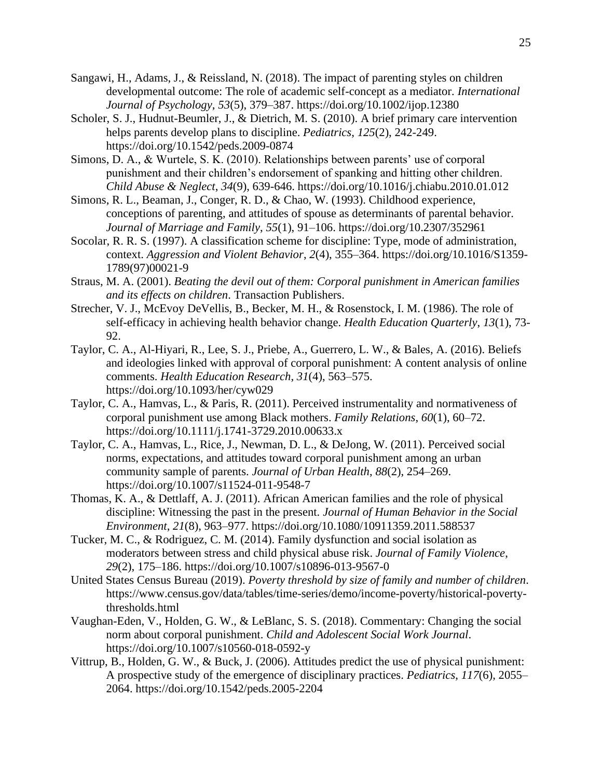- Sangawi, H., Adams, J., & Reissland, N. (2018). The impact of parenting styles on children developmental outcome: The role of academic self-concept as a mediator. *International Journal of Psychology*, *53*(5), 379–387. https://doi.org/10.1002/ijop.12380
- Scholer, S. J., Hudnut-Beumler, J., & Dietrich, M. S. (2010). A brief primary care intervention helps parents develop plans to discipline. *Pediatrics*, *125*(2), 242-249. https://doi.org/10.1542/peds.2009-0874
- Simons, D. A., & Wurtele, S. K. (2010). Relationships between parents' use of corporal punishment and their children's endorsement of spanking and hitting other children. *Child Abuse & Neglect*, *34*(9), 639-646. https://doi.org/10.1016/j.chiabu.2010.01.012
- Simons, R. L., Beaman, J., Conger, R. D., & Chao, W. (1993). Childhood experience, conceptions of parenting, and attitudes of spouse as determinants of parental behavior. *Journal of Marriage and Family*, *55*(1), 91–106. https://doi.org/10.2307/352961
- Socolar, R. R. S. (1997). A classification scheme for discipline: Type, mode of administration, context. *Aggression and Violent Behavior*, *2*(4), 355–364. https://doi.org/10.1016/S1359- 1789(97)00021-9
- Straus, M. A. (2001). *Beating the devil out of them: Corporal punishment in American families and its effects on children*. Transaction Publishers.
- Strecher, V. J., McEvoy DeVellis, B., Becker, M. H., & Rosenstock, I. M. (1986). The role of self-efficacy in achieving health behavior change. *Health Education Quarterly*, *13*(1), 73- 92.
- Taylor, C. A., Al-Hiyari, R., Lee, S. J., Priebe, A., Guerrero, L. W., & Bales, A. (2016). Beliefs and ideologies linked with approval of corporal punishment: A content analysis of online comments. *Health Education Research*, *31*(4), 563–575. https://doi.org/10.1093/her/cyw029
- Taylor, C. A., Hamvas, L., & Paris, R. (2011). Perceived instrumentality and normativeness of corporal punishment use among Black mothers. *Family Relations*, *60*(1), 60–72. https://doi.org/10.1111/j.1741-3729.2010.00633.x
- Taylor, C. A., Hamvas, L., Rice, J., Newman, D. L., & DeJong, W. (2011). Perceived social norms, expectations, and attitudes toward corporal punishment among an urban community sample of parents. *Journal of Urban Health*, *88*(2), 254–269. https://doi.org/10.1007/s11524-011-9548-7
- Thomas, K. A., & Dettlaff, A. J. (2011). African American families and the role of physical discipline: Witnessing the past in the present. *Journal of Human Behavior in the Social Environment*, *21*(8), 963–977. https://doi.org/10.1080/10911359.2011.588537
- Tucker, M. C., & Rodriguez, C. M. (2014). Family dysfunction and social isolation as moderators between stress and child physical abuse risk. *Journal of Family Violence*, *29*(2), 175–186. https://doi.org/10.1007/s10896-013-9567-0
- United States Census Bureau (2019). *Poverty threshold by size of family and number of children*. https://www.census.gov/data/tables/time-series/demo/income-poverty/historical-povertythresholds.html
- Vaughan-Eden, V., Holden, G. W., & LeBlanc, S. S. (2018). Commentary: Changing the social norm about corporal punishment. *Child and Adolescent Social Work Journal*. https://doi.org/10.1007/s10560-018-0592-y
- Vittrup, B., Holden, G. W., & Buck, J. (2006). Attitudes predict the use of physical punishment: A prospective study of the emergence of disciplinary practices. *Pediatrics*, *117*(6), 2055– 2064. https://doi.org/10.1542/peds.2005-2204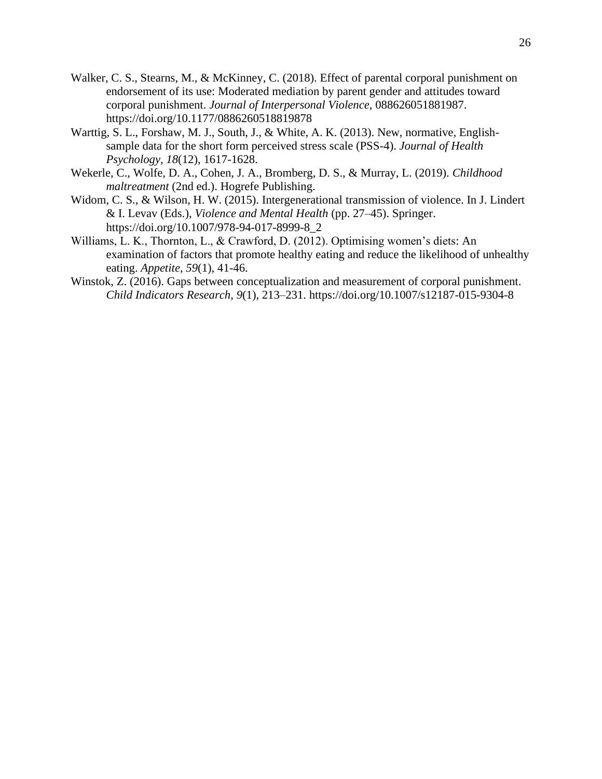- Walker, C. S., Stearns, M., & McKinney, C. (2018). Effect of parental corporal punishment on endorsement of its use: Moderated mediation by parent gender and attitudes toward corporal punishment. *Journal of Interpersonal Violence*, 088626051881987. https://doi.org/10.1177/0886260518819878
- Warttig, S. L., Forshaw, M. J., South, J., & White, A. K. (2013). New, normative, Englishsample data for the short form perceived stress scale (PSS-4). *Journal of Health Psychology, 18*(12), 1617-1628.
- Wekerle, C., Wolfe, D. A., Cohen, J. A., Bromberg, D. S., & Murray, L. (2019). *Childhood maltreatment* (2nd ed.). Hogrefe Publishing.
- Widom, C. S., & Wilson, H. W. (2015). Intergenerational transmission of violence. In J. Lindert & I. Levav (Eds.), *Violence and Mental Health* (pp. 27–45). Springer. https://doi.org/10.1007/978-94-017-8999-8\_2
- Williams, L. K., Thornton, L., & Crawford, D. (2012). Optimising women's diets: An examination of factors that promote healthy eating and reduce the likelihood of unhealthy eating. *Appetite*, *59*(1), 41-46.
- Winstok, Z. (2016). Gaps between conceptualization and measurement of corporal punishment. *Child Indicators Research*, *9*(1), 213–231. https://doi.org/10.1007/s12187-015-9304-8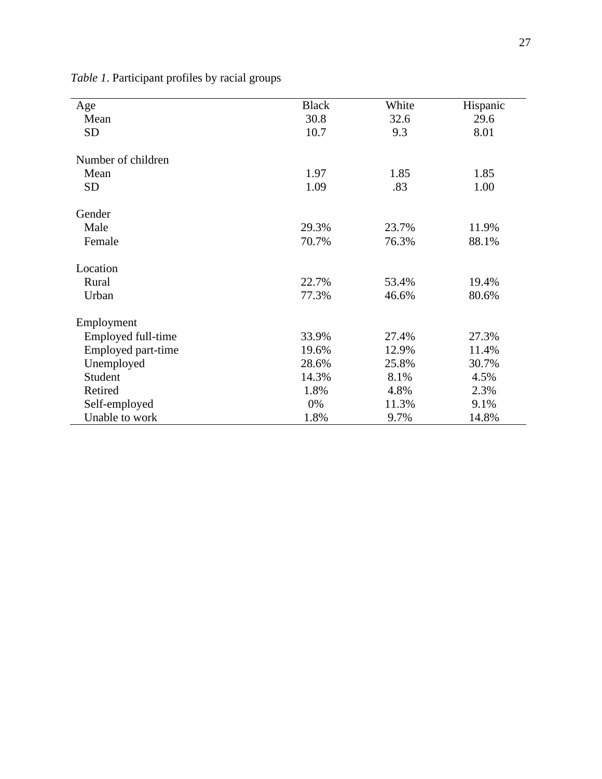| Age                | <b>Black</b> | White | Hispanic |
|--------------------|--------------|-------|----------|
| Mean               | 30.8         | 32.6  | 29.6     |
| <b>SD</b>          | 10.7         | 9.3   | 8.01     |
|                    |              |       |          |
| Number of children |              |       |          |
| Mean               | 1.97         | 1.85  | 1.85     |
| <b>SD</b>          | 1.09         | .83   | 1.00     |
| Gender             |              |       |          |
| Male               | 29.3%        | 23.7% | 11.9%    |
| Female             | 70.7%        | 76.3% | 88.1%    |
| Location           |              |       |          |
| Rural              | 22.7%        | 53.4% | 19.4%    |
| Urban              | 77.3%        | 46.6% | 80.6%    |
| Employment         |              |       |          |
| Employed full-time | 33.9%        | 27.4% | 27.3%    |
| Employed part-time | 19.6%        | 12.9% | 11.4%    |
| Unemployed         | 28.6%        | 25.8% | 30.7%    |
| Student            | 14.3%        | 8.1%  | 4.5%     |
| Retired            | 1.8%         | 4.8%  | 2.3%     |
| Self-employed      | 0%           | 11.3% | 9.1%     |
| Unable to work     | 1.8%         | 9.7%  | 14.8%    |

*Table 1*. Participant profiles by racial groups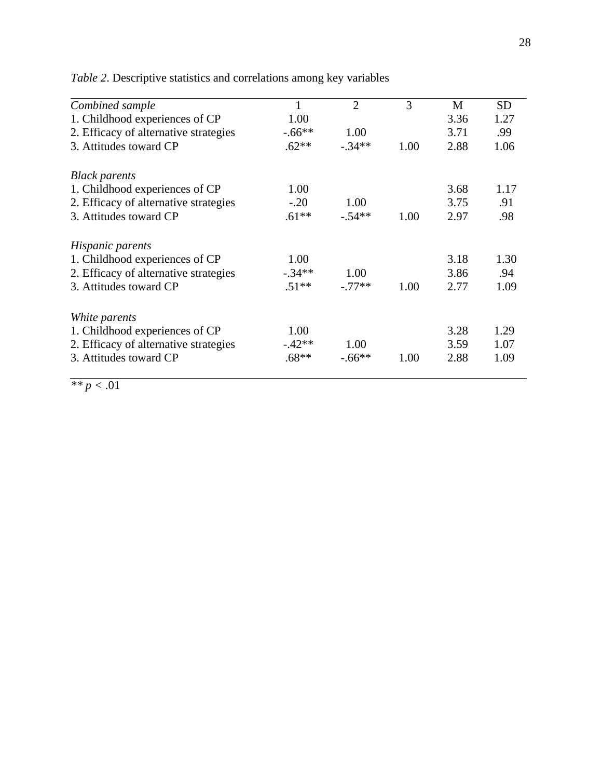| Combined sample                       | 1        | $\overline{2}$ | 3    | M    | <b>SD</b> |
|---------------------------------------|----------|----------------|------|------|-----------|
| 1. Childhood experiences of CP        | 1.00     |                |      | 3.36 | 1.27      |
| 2. Efficacy of alternative strategies | $-.66**$ | 1.00           |      | 3.71 | .99       |
|                                       |          |                |      |      |           |
| 3. Attitudes toward CP                | $.62**$  | $-34**$        | 1.00 | 2.88 | 1.06      |
| <b>Black parents</b>                  |          |                |      |      |           |
| 1. Childhood experiences of CP        | 1.00     |                |      | 3.68 | 1.17      |
| 2. Efficacy of alternative strategies | $-.20$   | 1.00           |      | 3.75 | .91       |
| 3. Attitudes toward CP                | $.61**$  | $-.54**$       | 1.00 | 2.97 | .98       |
| Hispanic parents                      |          |                |      |      |           |
| 1. Childhood experiences of CP        | 1.00     |                |      | 3.18 | 1.30      |
| 2. Efficacy of alternative strategies | $-.34**$ | 1.00           |      | 3.86 | .94       |
| 3. Attitudes toward CP                | $.51**$  | $-77**$        | 1.00 | 2.77 | 1.09      |
| White parents                         |          |                |      |      |           |
| 1. Childhood experiences of CP        | 1.00     |                |      | 3.28 | 1.29      |
| 2. Efficacy of alternative strategies | $-.42**$ | 1.00           |      | 3.59 | 1.07      |
| 3. Attitudes toward CP                | $.68**$  | $-.66**$       | 1.00 | 2.88 | 1.09      |
|                                       |          |                |      |      |           |

*Table 2*. Descriptive statistics and correlations among key variables

 $\overline{p<.01}$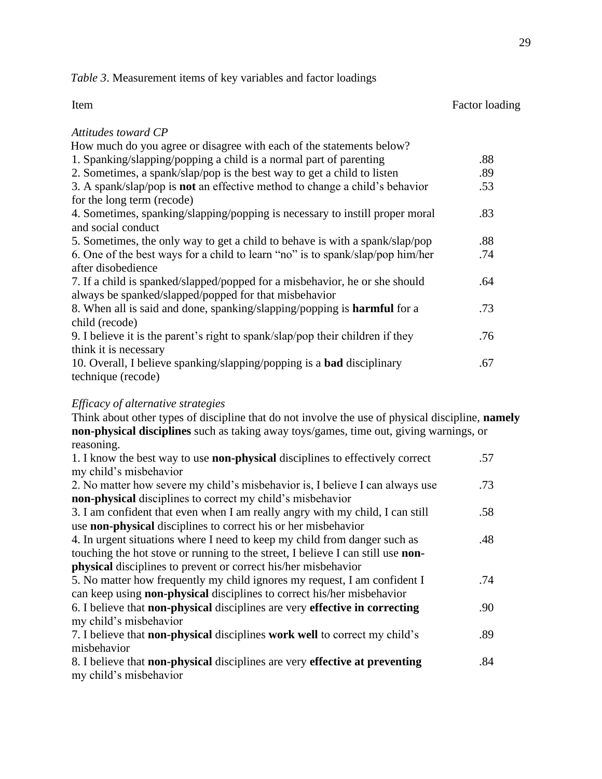*Table 3*. Measurement items of key variables and factor loadings

| Item                                                                               | Factor loading |
|------------------------------------------------------------------------------------|----------------|
| Attitudes toward CP                                                                |                |
| How much do you agree or disagree with each of the statements below?               |                |
| 1. Spanking/slapping/popping a child is a normal part of parenting                 | .88            |
| 2. Sometimes, a spank/slap/pop is the best way to get a child to listen            | .89            |
| 3. A spank/slap/pop is <b>not</b> an effective method to change a child's behavior | .53            |
| for the long term (recode)                                                         |                |
| 4. Sometimes, spanking/slapping/popping is necessary to instill proper moral       | .83            |
| and social conduct                                                                 |                |
| 5. Sometimes, the only way to get a child to behave is with a spank/slap/pop       | .88            |
| 6. One of the best ways for a child to learn "no" is to spank/slap/pop him/her     | .74            |
| after disobedience                                                                 |                |
| 7. If a child is spanked/slapped/popped for a misbehavior, he or she should        | .64            |
| always be spanked/slapped/popped for that misbehavior                              |                |
| 8. When all is said and done, spanking/slapping/popping is <b>harmful</b> for a    | .73            |
| child (recode)                                                                     |                |
| 9. I believe it is the parent's right to spank/slap/pop their children if they     | .76            |
| think it is necessary                                                              |                |
| 10. Overall, I believe spanking/slapping/popping is a <b>bad</b> disciplinary      | .67            |
| technique (recode)                                                                 |                |
|                                                                                    |                |

## *Efficacy of alternative strategies*

Think about other types of discipline that do not involve the use of physical discipline, **namely non-physical disciplines** such as taking away toys/games, time out, giving warnings, or reasoning. 1. I know the best way to use **non-physical** disciplines to effectively correct  $m_1$  child<sup>-</sup> misbehavior misbehavior misbehavior misbehavior misbehavior misbehavior misbehavior misbehavior misbehavior misb $m_1$ .57

| my child's misbehavior                                                                    |     |
|-------------------------------------------------------------------------------------------|-----|
| 2. No matter how severe my child's misbehavior is, I believe I can always use             | .73 |
| <b>non-physical</b> disciplines to correct my child's misbehavior                         |     |
| 3. I am confident that even when I am really angry with my child, I can still             | .58 |
| use non-physical disciplines to correct his or her misbehavior                            |     |
| 4. In urgent situations where I need to keep my child from danger such as                 | .48 |
| touching the hot stove or running to the street, I believe I can still use <b>non-</b>    |     |
| <b>physical</b> disciplines to prevent or correct his/her misbehavior                     |     |
| 5. No matter how frequently my child ignores my request, I am confident I                 | .74 |
| can keep using <b>non-physical</b> disciplines to correct his/her misbehavior             |     |
| 6. I believe that <b>non-physical</b> disciplines are very <b>effective in correcting</b> | .90 |
| my child's misbehavior                                                                    |     |
| 7. I believe that <b>non-physical</b> disciplines <b>work</b> well to correct my child's  | .89 |
| misbehavior                                                                               |     |
| 8. I believe that <b>non-physical</b> disciplines are very <b>effective at preventing</b> | .84 |
| my child's misbehavior                                                                    |     |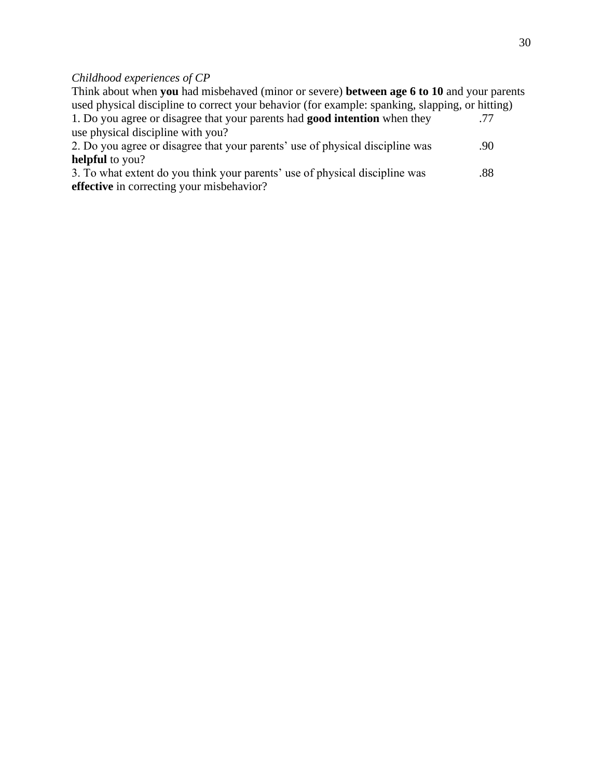## *Childhood experiences of CP*

Think about when **you** had misbehaved (minor or severe) **between age 6 to 10** and your parents used physical discipline to correct your behavior (for example: spanking, slapping, or hitting) 1. Do you agree or disagree that your parents had **good intention** when they use physical discipline with you? .77 2. Do you agree or disagree that your parents' use of physical discipline was **helpful** to you? .90 3. To what extent do you think your parents' use of physical discipline was **effective** in correcting your misbehavior? .88